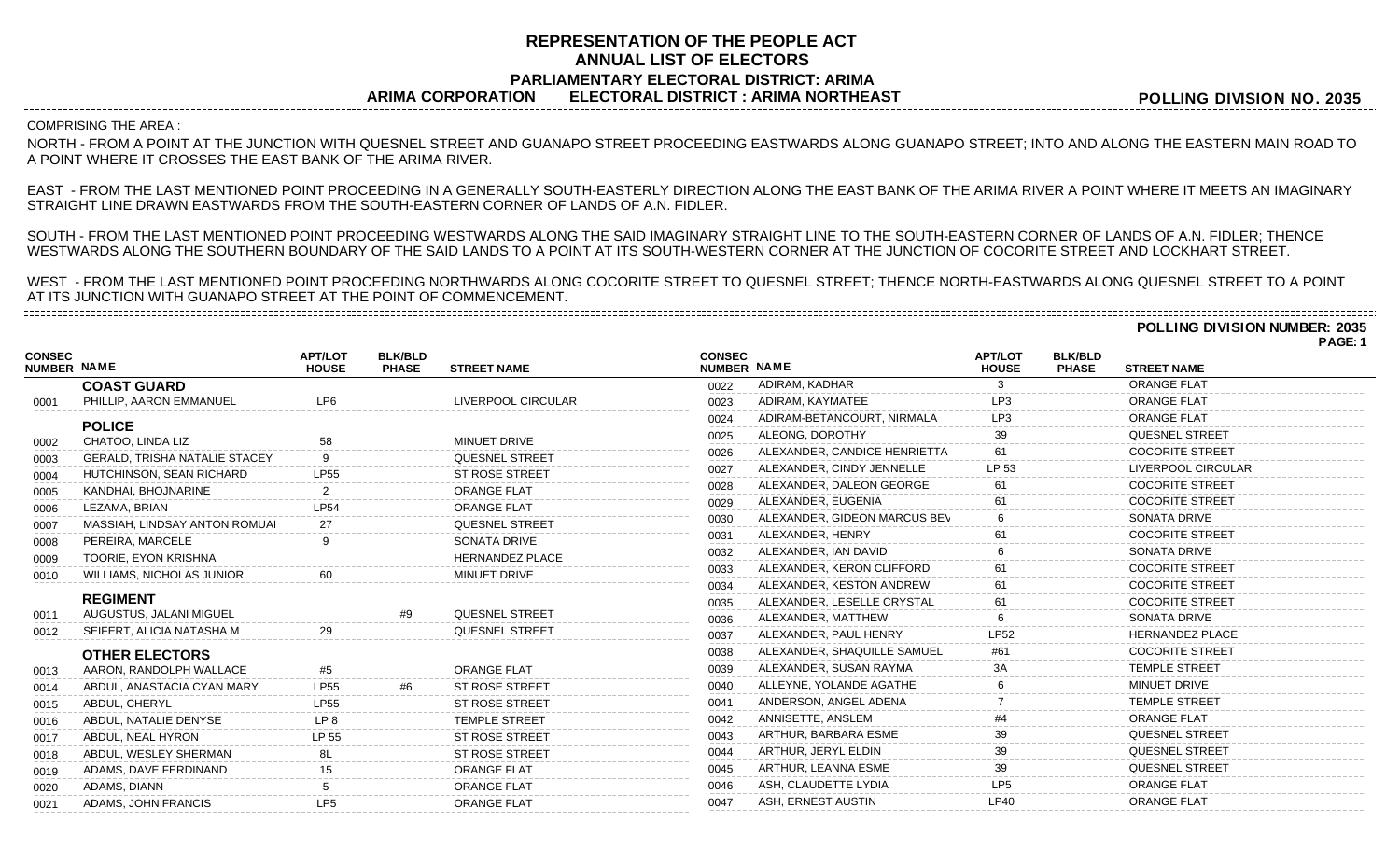# **REPRESENTATION OF THE PEOPLE ACT ANNUAL LIST OF ELECTORS PARLIAMENTARY ELECTORAL DISTRICT: ARIMA ARIMA CORPORATION ELECTORAL DISTRICT : ARIMA NORTHEAST**

**POLLING DIVISION NO. 2035**

## COMPRISING THE AREA :

NORTH - FROM A POINT AT THE JUNCTION WITH QUESNEL STREET AND GUANAPO STREET PROCEEDING EASTWARDS ALONG GUANAPO STREET; INTO AND ALONG THE EASTERN MAIN ROAD TO A POINT WHERE IT CROSSES THE EAST BANK OF THE ARIMA RIVER.

EAST - FROM THE LAST MENTIONED POINT PROCEEDING IN A GENERALLY SOUTH-EASTERLY DIRECTION ALONG THE EAST BANK OF THE ARIMA RIVER A POINT WHERE IT MEETS AN IMAGINARY STRAIGHT LINE DRAWN EASTWARDS FROM THE SOUTH-EASTERN CORNER OF LANDS OF A.N. FIDLER.

SOUTH - FROM THE LAST MENTIONED POINT PROCEEDING WESTWARDS ALONG THE SAID IMAGINARY STRAIGHT LINE TO THE SOUTH-EASTERN CORNER OF LANDS OF A.N. FIDLER; THENCE WESTWARDS ALONG THE SOUTHERN BOUNDARY OF THE SAID LANDS TO A POINT AT ITS SOUTH-WESTERN CORNER AT THE JUNCTION OF COCORITE STREET AND LOCKHART STREET.

WEST - FROM THE LAST MENTIONED POINT PROCEEDING NORTHWARDS ALONG COCORITE STREET TO QUESNEL STREET; THENCE NORTH-EASTWARDS ALONG QUESNEL STREET TO A POINT AT ITS JUNCTION WITH GUANAPO STREET AT THE POINT OF COMMENCEMENT.

**POLLING DIVISION NUMBER: 2035**

**PAGE: 1**

|                                     |                                      |                                |                                |                        |                              |                              |                                |                                |                        | <b>FAGL.</b> |
|-------------------------------------|--------------------------------------|--------------------------------|--------------------------------|------------------------|------------------------------|------------------------------|--------------------------------|--------------------------------|------------------------|--------------|
| <b>CONSEC</b><br><b>NUMBER NAME</b> |                                      | <b>APT/LOT</b><br><b>HOUSE</b> | <b>BLK/BLD</b><br><b>PHASE</b> | <b>STREET NAME</b>     | <b>CONSEC</b><br>NUMBER NAME |                              | <b>APT/LOT</b><br><b>HOUSE</b> | <b>BLK/BLD</b><br><b>PHASE</b> | <b>STREET NAME</b>     |              |
|                                     | <b>COAST GUARD</b>                   |                                |                                |                        | 0022                         | ADIRAM, KADHAR               |                                |                                | <b>ORANGE FLAT</b>     |              |
| 0001                                | PHILLIP, AARON EMMANUEL              | <b>IP6</b>                     |                                | LIVERPOOL CIRCULAR     | 0023                         | ADIRAM, KAYMATEE             |                                |                                | <b>ORANGE FLAT</b>     |              |
|                                     | <b>POLICE</b>                        |                                |                                |                        | 0024                         | ADIRAM-BETANCOURT, NIRMALA   | LP3                            |                                | <b>ORANGE FLAT</b>     |              |
| 0002                                | CHATOO, LINDA LIZ                    |                                |                                | <b>MINUET DRIVE</b>    | 0025                         | ALEONG, DOROTHY              | 39                             |                                | QUESNEL STREET         |              |
| 0003                                | <b>GERALD, TRISHA NATALIE STACEY</b> |                                |                                | <b>QUESNEL STREET</b>  | 0026                         | ALEXANDER, CANDICE HENRIETTA |                                |                                | <b>COCORITE STREET</b> |              |
| 0004                                | HUTCHINSON, SEAN RICHARD             | <b>LP55</b>                    |                                | <b>ST ROSE STREET</b>  | 0027                         | ALEXANDER, CINDY JENNELLE    | LP 53                          |                                | LIVERPOOL CIRCULAR     |              |
| 0005                                | KANDHAI, BHOJNARINE                  |                                |                                | <b>ORANGE FLAT</b>     | 0028                         | ALEXANDER, DALEON GEORGE     |                                |                                | <b>COCORITE STREET</b> |              |
| 0006                                | LEZAMA, BRIAN                        | <b>LP54</b>                    |                                | <b>ORANGE FLAT</b>     | 0029                         | ALEXANDER, EUGENIA           |                                |                                | <b>COCORITE STREET</b> |              |
| 0007                                | MASSIAH, LINDSAY ANTON ROMUAI        | 27                             |                                | <b>QUESNEL STREET</b>  | 0030                         | ALEXANDER, GIDEON MARCUS BEV |                                |                                | SONATA DRIVE           |              |
| 0008                                | PEREIRA, MARCELE                     |                                |                                | SONATA DRIVE           | 0031                         | ALEXANDER, HENRY             |                                |                                | <b>COCORITE STREET</b> |              |
| 0009                                | TOORIE, EYON KRISHNA                 |                                |                                | <b>HERNANDEZ PLACE</b> | 0032                         | ALEXANDER, IAN DAVID         |                                |                                | SONATA DRIVE           |              |
| 0010                                | <b>WILLIAMS, NICHOLAS JUNIOR</b>     |                                |                                | <b>MINUET DRIVE</b>    | 0033                         | ALEXANDER, KERON CLIFFORD    | 61                             |                                | <b>COCORITE STREET</b> |              |
|                                     |                                      |                                |                                |                        | 0034                         | ALEXANDER, KESTON ANDREW     | 61                             |                                | <b>COCORITE STREET</b> |              |
|                                     | <b>REGIMENT</b>                      |                                |                                |                        | 0035                         | ALEXANDER, LESELLE CRYSTAL   | 61                             |                                | <b>COCORITE STREET</b> |              |
| 0011                                | AUGUSTUS, JALANI MIGUEL              |                                | #9                             | <b>QUESNEL STREET</b>  | 0036                         | ALEXANDER, MATTHEW           |                                |                                | <b>SONATA DRIVE</b>    |              |
| 0012                                | SEIFERT, ALICIA NATASHA M            | 29                             |                                | <b>QUESNEL STREET</b>  | 0037                         | ALEXANDER, PAUL HENRY        | <b>LP52</b>                    |                                | <b>HERNANDEZ PLACE</b> |              |
|                                     | <b>OTHER ELECTORS</b>                |                                |                                |                        | 0038                         | ALEXANDER, SHAQUILLE SAMUEL  | #61                            |                                | <b>COCORITE STREET</b> |              |
| 0013                                | AARON, RANDOLPH WALLACE              | #5                             |                                | <b>ORANGE FLAT</b>     | 0039                         | ALEXANDER, SUSAN RAYMA       | ЗA                             |                                | <b>TEMPLE STREET</b>   |              |
| 0014                                | ABDUL, ANASTACIA CYAN MARY           | <b>LP55</b>                    | #6                             | <b>ST ROSE STREET</b>  | 0040                         | ALLEYNE, YOLANDE AGATHE      |                                |                                | MINUET DRIVE           |              |
| 0015                                | ABDUL, CHERYL                        | <b>LP55</b>                    |                                | <b>ST ROSE STREET</b>  | 0041                         | ANDERSON, ANGEL ADENA        |                                |                                | <b>TEMPLE STREET</b>   |              |
| 0016                                | ABDUL, NATALIE DENYSE                | LP <sub>8</sub>                |                                | <b>TEMPLE STREET</b>   | 0042                         | ANNISETTE, ANSLEM            |                                |                                | <b>ORANGE FLAT</b>     |              |
| 0017                                | ABDUL, NEAL HYRON                    | LP 55                          |                                | <b>ST ROSE STREET</b>  | 0043                         | ARTHUR, BARBARA ESME         |                                |                                | <b>QUESNEL STREET</b>  |              |
| 0018                                | ABDUL, WESLEY SHERMAN                |                                |                                | <b>ST ROSE STREET</b>  | 0044                         | ARTHUR, JERYL ELDIN          |                                |                                | <b>QUESNEL STREET</b>  |              |
| 0019                                | ADAMS, DAVE FERDINAND                |                                |                                | <b>ORANGE FLAT</b>     | 0045                         | ARTHUR, LEANNA ESME          | 39                             |                                | <b>QUESNEL STREET</b>  |              |
| 0020                                | ADAMS, DIANN                         |                                |                                | ORANGE FLAT            | 0046                         | ASH, CLAUDETTE LYDIA         | LP <sub>5</sub>                |                                | <b>ORANGE FLAT</b>     |              |
| 0021                                | ADAMS, JOHN FRANCIS                  | LP <sub>5</sub>                |                                | <b>ORANGE FLAT</b>     | 0047                         | ASH, ERNEST AUSTIN           | LP40                           |                                | <b>ORANGE FLAT</b>     |              |
|                                     |                                      |                                |                                |                        |                              |                              |                                |                                |                        |              |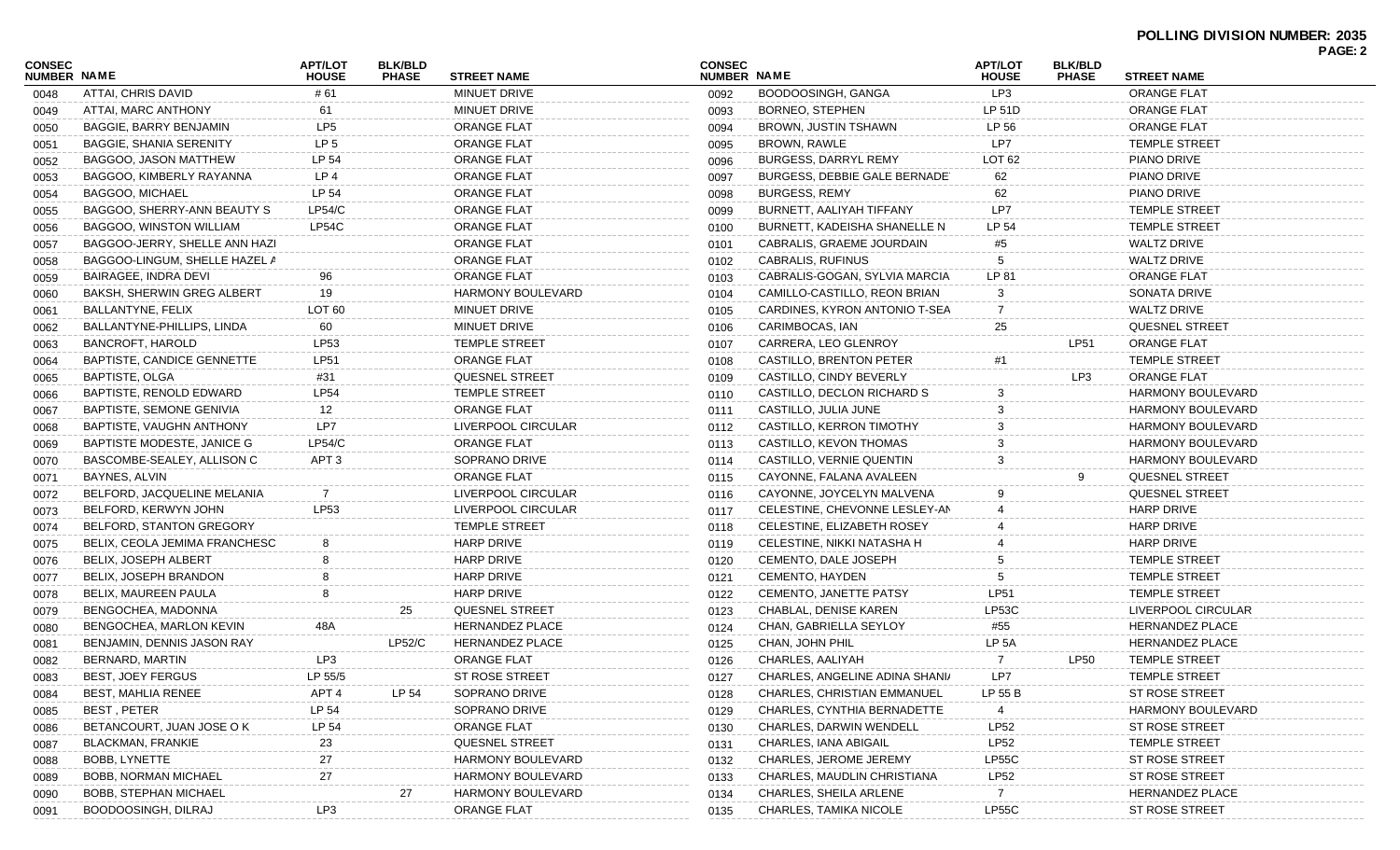|                                     |                                   |                                |                                |                          |                              |                                |                                |                                |                          | PAGE: 2 |
|-------------------------------------|-----------------------------------|--------------------------------|--------------------------------|--------------------------|------------------------------|--------------------------------|--------------------------------|--------------------------------|--------------------------|---------|
| <b>CONSEC</b><br><b>NUMBER NAME</b> |                                   | <b>APT/LOT</b><br><b>HOUSE</b> | <b>BLK/BLD</b><br><b>PHASE</b> | <b>STREET NAME</b>       | <b>CONSEC</b><br>NUMBER NAME |                                | <b>APT/LOT</b><br><b>HOUSE</b> | <b>BLK/BLD</b><br><b>PHASE</b> | <b>STREET NAME</b>       |         |
| 0048                                | ATTAI, CHRIS DAVID                | # 61                           |                                | <b>MINUET DRIVE</b>      | 0092                         | BOODOOSINGH, GANGA             | LP3                            |                                | <b>ORANGE FLAT</b>       |         |
| 0049                                | ATTAI, MARC ANTHONY               | 61                             |                                | MINUET DRIVE             | 0093                         | <b>BORNEO, STEPHEN</b>         | LP 51D                         |                                | <b>ORANGE FLAT</b>       |         |
| 0050                                | BAGGIE, BARRY BENJAMIN            | LP <sub>5</sub>                |                                | <b>ORANGE FLAT</b>       | 0094                         | BROWN, JUSTIN TSHAWN           | LP 56                          |                                | <b>ORANGE FLAT</b>       |         |
| 0051                                | <b>BAGGIE, SHANIA SERENITY</b>    | LP 5                           |                                | <b>ORANGE FLAT</b>       | 0095                         | <b>BROWN, RAWLE</b>            | LP7                            |                                | <b>TEMPLE STREET</b>     |         |
| 0052                                | BAGGOO, JASON MATTHEW             | LP 54                          |                                | <b>ORANGE FLAT</b>       | 0096                         | BURGESS, DARRYL REMY           | LOT <sub>62</sub>              |                                | PIANO DRIVE              |         |
| 0053                                | BAGGOO, KIMBERLY RAYANNA          | LP 4                           |                                | <b>ORANGE FLAT</b>       | 0097                         | BURGESS, DEBBIE GALE BERNADE   | 62                             |                                | PIANO DRIVE              |         |
| 0054                                | <b>BAGGOO, MICHAEL</b>            | LP 54                          |                                | <b>ORANGE FLAT</b>       | 0098                         | <b>BURGESS, REMY</b>           | 62                             |                                | PIANO DRIVE              |         |
| 0055                                | BAGGOO, SHERRY-ANN BEAUTY S       | LP54/C                         |                                | <b>ORANGE FLAT</b>       | 0099                         | BURNETT, AALIYAH TIFFANY       | LP7                            |                                | <b>TEMPLE STREET</b>     |         |
| 0056                                | BAGGOO, WINSTON WILLIAM           | LP54C                          |                                | <b>ORANGE FLAT</b>       | 0100                         | BURNETT, KADEISHA SHANELLE N   | LP 54                          |                                | <b>TEMPLE STREET</b>     |         |
| 0057                                | BAGGOO-JERRY, SHELLE ANN HAZI     |                                |                                | <b>ORANGE FLAT</b>       | 0101                         | CABRALIS, GRAEME JOURDAIN      | #5                             |                                | <b>WALTZ DRIVE</b>       |         |
| 0058                                | BAGGOO-LINGUM, SHELLE HAZEL A     |                                |                                | <b>ORANGE FLAT</b>       | 0102                         | CABRALIS, RUFINUS              | 5                              |                                | <b>WALTZ DRIVE</b>       |         |
| 0059                                | BAIRAGEE, INDRA DEVI              | 96                             |                                | <b>ORANGE FLAT</b>       | 0103                         | CABRALIS-GOGAN, SYLVIA MARCIA  | LP 81                          |                                | <b>ORANGE FLAT</b>       |         |
| 0060                                | BAKSH, SHERWIN GREG ALBERT        | 19                             |                                | <b>HARMONY BOULEVARD</b> | 0104                         | CAMILLO-CASTILLO, REON BRIAN   | 3                              |                                | SONATA DRIVE             |         |
| 0061                                | BALLANTYNE, FELIX                 | LOT <sub>60</sub>              |                                | MINUET DRIVE             | 0105                         | CARDINES, KYRON ANTONIO T-SEA  | 7                              |                                | <b>WALTZ DRIVE</b>       |         |
| 0062                                | BALLANTYNE-PHILLIPS, LINDA        | 60                             |                                | MINUET DRIVE             | 0106                         | CARIMBOCAS, IAN                | 25                             |                                | <b>QUESNEL STREET</b>    |         |
| 0063                                | <b>BANCROFT, HAROLD</b>           | LP53                           |                                | <b>TEMPLE STREET</b>     | 0107                         | CARRERA, LEO GLENROY           |                                | <b>LP51</b>                    | <b>ORANGE FLAT</b>       |         |
| 0064                                | <b>BAPTISTE, CANDICE GENNETTE</b> | <b>LP51</b>                    |                                | <b>ORANGE FLAT</b>       | 0108                         | CASTILLO, BRENTON PETER        | #1                             |                                | <b>TEMPLE STREET</b>     |         |
| 0065                                | BAPTISTE, OLGA                    | #31                            |                                | QUESNEL STREET           | 0109                         | CASTILLO, CINDY BEVERLY        |                                | LP3                            | <b>ORANGE FLAT</b>       |         |
| 0066                                | BAPTISTE, RENOLD EDWARD           | <b>LP54</b>                    |                                | <b>TEMPLE STREET</b>     | 0110                         | CASTILLO, DECLON RICHARD S     | 3                              |                                | <b>HARMONY BOULEVARD</b> |         |
| 0067                                | BAPTISTE, SEMONE GENIVIA          | 12                             |                                | <b>ORANGE FLAT</b>       | 0111                         | CASTILLO, JULIA JUNE           | 3                              |                                | HARMONY BOULEVARD        |         |
| 0068                                | BAPTISTE, VAUGHN ANTHONY          | LP7                            |                                | LIVERPOOL CIRCULAR       | 0112                         | CASTILLO, KERRON TIMOTHY       |                                |                                | <b>HARMONY BOULEVARD</b> |         |
| 0069                                | BAPTISTE MODESTE, JANICE G        | LP54/C                         |                                | <b>ORANGE FLAT</b>       | 0113                         | CASTILLO, KEVON THOMAS         |                                |                                | <b>HARMONY BOULEVARD</b> |         |
| 0070                                | BASCOMBE-SEALEY, ALLISON C        | APT <sub>3</sub>               |                                | SOPRANO DRIVE            | 0114                         | CASTILLO, VERNIE QUENTIN       | 3                              |                                | <b>HARMONY BOULEVARD</b> |         |
| 0071                                | BAYNES, ALVIN                     |                                |                                | <b>ORANGE FLAT</b>       | 0115                         | CAYONNE, FALANA AVALEEN        |                                | 9                              | QUESNEL STREET           |         |
| 0072                                | BELFORD, JACQUELINE MELANIA       | 7                              |                                | LIVERPOOL CIRCULAR       | 0116                         | CAYONNE, JOYCELYN MALVENA      | 9                              |                                | <b>QUESNEL STREET</b>    |         |
| 0073                                | BELFORD, KERWYN JOHN              | LP53                           |                                | LIVERPOOL CIRCULAR       | 0117                         | CELESTINE, CHEVONNE LESLEY-AN  |                                |                                | <b>HARP DRIVE</b>        |         |
| 0074                                | BELFORD, STANTON GREGORY          |                                |                                | <b>TEMPLE STREET</b>     | 0118                         | CELESTINE, ELIZABETH ROSEY     |                                |                                | <b>HARP DRIVE</b>        |         |
| 0075                                | BELIX, CEOLA JEMIMA FRANCHESC     |                                |                                | <b>HARP DRIVE</b>        | 0119                         | CELESTINE, NIKKI NATASHA H     |                                |                                | <b>HARP DRIVE</b>        |         |
| 0076                                | <b>BELIX, JOSEPH ALBERT</b>       |                                |                                | <b>HARP DRIVE</b>        | 0120                         | CEMENTO, DALE JOSEPH           |                                |                                | <b>TEMPLE STREET</b>     |         |
| 0077                                | BELIX, JOSEPH BRANDON             |                                |                                | <b>HARP DRIVE</b>        | 0121                         | CEMENTO, HAYDEN                |                                |                                | <b>TEMPLE STREET</b>     |         |
| 0078                                | BELIX, MAUREEN PAULA              |                                |                                | <b>HARP DRIVE</b>        | 0122                         | <b>CEMENTO, JANETTE PATSY</b>  | <b>LP51</b>                    |                                | <b>TEMPLE STREET</b>     |         |
| 0079                                | BENGOCHEA, MADONNA                |                                | 25                             | <b>QUESNEL STREET</b>    | 0123                         | CHABLAL, DENISE KAREN          | <b>LP53C</b>                   |                                | LIVERPOOL CIRCULAR       |         |
| 0080                                | BENGOCHEA, MARLON KEVIN           | 48A                            |                                | <b>HERNANDEZ PLACE</b>   | 0124                         | CHAN, GABRIELLA SEYLOY         | #55                            |                                | <b>HERNANDEZ PLACE</b>   |         |
| 0081                                | BENJAMIN, DENNIS JASON RAY        |                                | LP52/C                         | <b>HERNANDEZ PLACE</b>   | 0125                         | CHAN, JOHN PHIL                | LP 5A                          |                                | <b>HERNANDEZ PLACE</b>   |         |
|                                     | BERNARD, MARTIN                   | LP3                            |                                | <b>ORANGE FLAT</b>       | 0126                         | CHARLES, AALIYAH               | 7                              | <b>LP50</b>                    | <b>TEMPLE STREET</b>     |         |
| 0082                                | <b>BEST, JOEY FERGUS</b>          | LP 55/5                        |                                | ST ROSE STREET           |                              | CHARLES, ANGELINE ADINA SHANI/ | LP7                            |                                | <b>TEMPLE STREET</b>     |         |
| 0083                                | BEST, MAHLIA RENEE                | APT <sub>4</sub>               | LP 54                          | SOPRANO DRIVE            | 0127                         | CHARLES, CHRISTIAN EMMANUEL    |                                |                                | ST ROSE STREET           |         |
| 0084                                |                                   |                                |                                |                          | 0128                         |                                | LP 55 B                        |                                |                          |         |
| 0085                                | BEST, PETER                       | LP 54                          |                                | SOPRANO DRIVE            | 0129                         | CHARLES, CYNTHIA BERNADETTE    | 4                              |                                | <b>HARMONY BOULEVARD</b> |         |
| 0086                                | BETANCOURT, JUAN JOSE O K         | LP 54                          |                                | ORANGE FLAT              | 0130                         | CHARLES, DARWIN WENDELL        | <b>LP52</b>                    |                                | ST ROSE STREET           |         |
| 0087                                | BLACKMAN, FRANKIE                 | 23                             |                                | QUESNEL STREET           | 0131                         | CHARLES, IANA ABIGAIL          | <b>LP52</b>                    |                                | <b>TEMPLE STREET</b>     |         |
| 0088                                | <b>BOBB, LYNETTE</b>              | 27                             |                                | <b>HARMONY BOULEVARD</b> | 0132                         | CHARLES, JEROME JEREMY         | <b>LP55C</b>                   |                                | ST ROSE STREET           |         |
| 0089                                | <b>BOBB, NORMAN MICHAEL</b>       | 27                             |                                | HARMONY BOULEVARD        | 0133                         | CHARLES, MAUDLIN CHRISTIANA    | <b>LP52</b>                    |                                | <b>ST ROSE STREET</b>    |         |
| 0090                                | <b>BOBB, STEPHAN MICHAEL</b>      |                                | 27                             | HARMONY BOULEVARD        | 0134                         | CHARLES, SHEILA ARLENE         | 7                              |                                | <b>HERNANDEZ PLACE</b>   |         |
| 0091                                | BOODOOSINGH, DILRAJ               | LP3                            |                                | ORANGE FLAT              | 0135                         | CHARLES, TAMIKA NICOLE         | LP55C                          |                                | ST ROSE STREET           |         |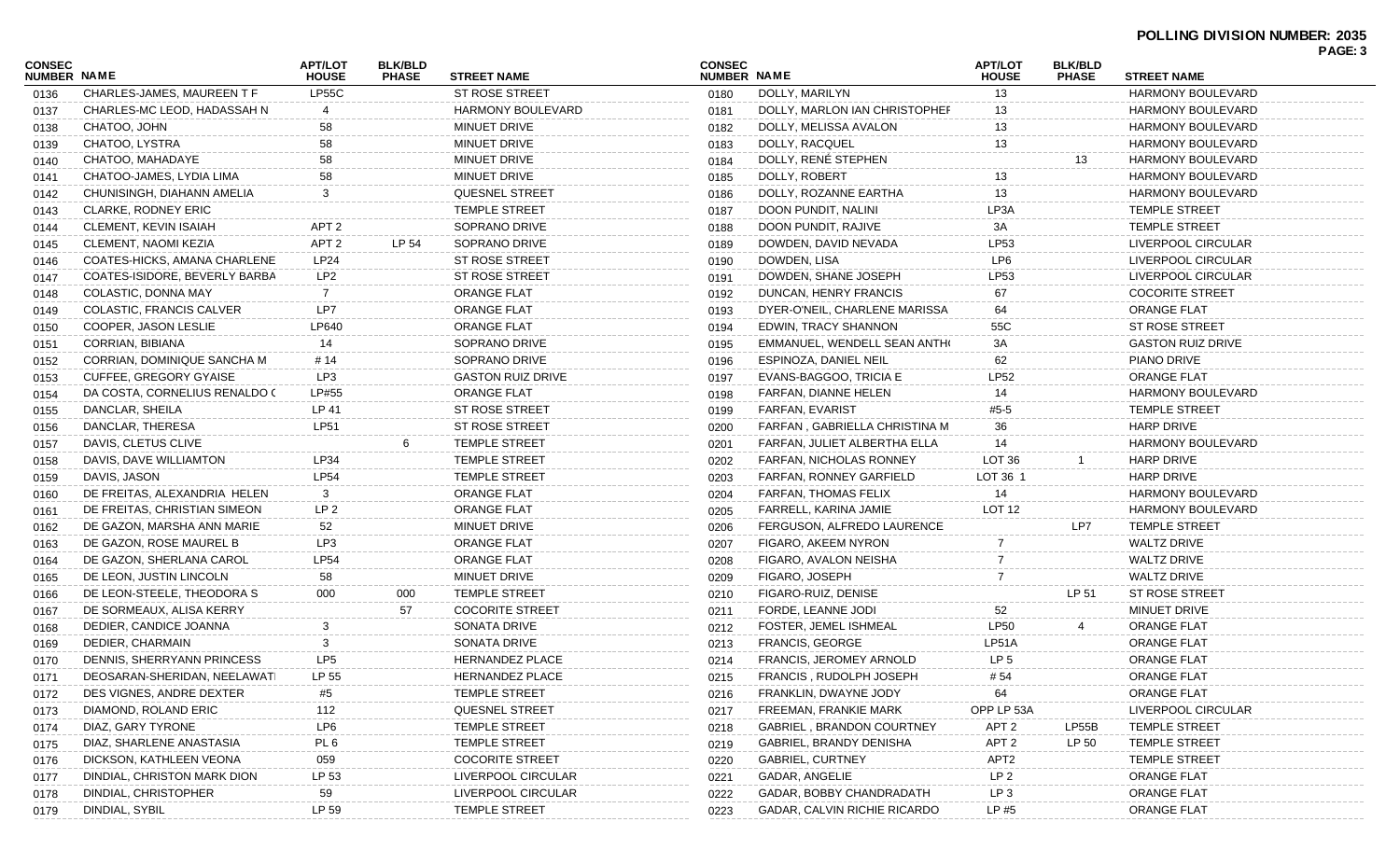|                                     |                               |                                |                                |                          |                              |                                  |                                |                                |                          | . השכו |
|-------------------------------------|-------------------------------|--------------------------------|--------------------------------|--------------------------|------------------------------|----------------------------------|--------------------------------|--------------------------------|--------------------------|--------|
| <b>CONSEC</b><br><b>NUMBER NAME</b> |                               | <b>APT/LOT</b><br><b>HOUSE</b> | <b>BLK/BLD</b><br><b>PHASE</b> | <b>STREET NAME</b>       | <b>CONSEC</b><br>NUMBER NAME |                                  | <b>APT/LOT</b><br><b>HOUSE</b> | <b>BLK/BLD</b><br><b>PHASE</b> | <b>STREET NAME</b>       |        |
| 0136                                | CHARLES-JAMES, MAUREEN T F    | <b>LP55C</b>                   |                                | ST ROSE STREET           | 0180                         | DOLLY, MARILYN                   | 13                             |                                | <b>HARMONY BOULEVARD</b> |        |
| 0137                                | CHARLES-MC LEOD, HADASSAH N   | 4                              |                                | <b>HARMONY BOULEVARD</b> | 0181                         | DOLLY, MARLON IAN CHRISTOPHEF    | 13                             |                                | <b>HARMONY BOULEVARD</b> |        |
| 0138                                | CHATOO, JOHN                  | 58                             |                                | MINUET DRIVE             | 0182                         | DOLLY, MELISSA AVALON            | 13                             |                                | <b>HARMONY BOULEVARD</b> |        |
| 0139                                | CHATOO, LYSTRA                | 58                             |                                | MINUET DRIVE             | 0183                         | DOLLY, RACQUEL                   | 13                             |                                | <b>HARMONY BOULEVARD</b> |        |
| 0140                                | CHATOO, MAHADAYE              | 58                             |                                | MINUET DRIVE             | 0184                         | DOLLY, RENÉ STEPHEN              |                                | 13                             | HARMONY BOULEVARD        |        |
| 0141                                | CHATOO-JAMES, LYDIA LIMA      | 58                             |                                | MINUET DRIVE             | 0185                         | DOLLY, ROBERT                    | 13                             |                                | <b>HARMONY BOULEVARD</b> |        |
| 0142                                | CHUNISINGH, DIAHANN AMELIA    | 3                              |                                | <b>QUESNEL STREET</b>    | 0186                         | DOLLY, ROZANNE EARTHA            | 13                             |                                | <b>HARMONY BOULEVARD</b> |        |
| 0143                                | CLARKE, RODNEY ERIC           |                                |                                | <b>TEMPLE STREET</b>     | 0187                         | DOON PUNDIT, NALINI              | LP3A                           |                                | <b>TEMPLE STREET</b>     |        |
| 0144                                | CLEMENT, KEVIN ISAIAH         | APT <sub>2</sub>               |                                | SOPRANO DRIVE            | 0188                         | DOON PUNDIT, RAJIVE              | 3A                             |                                | <b>TEMPLE STREET</b>     |        |
| 0145                                | <b>CLEMENT, NAOMI KEZIA</b>   | APT 2                          | LP 54                          | SOPRANO DRIVE            | 0189                         | DOWDEN, DAVID NEVADA             | LP53                           |                                | LIVERPOOL CIRCULAR       |        |
| 0146                                | COATES-HICKS, AMANA CHARLENE  | LP24                           |                                | ST ROSE STREET           | 0190                         | DOWDEN, LISA                     | LP6                            |                                | LIVERPOOL CIRCULAR       |        |
| 0147                                | COATES-ISIDORE, BEVERLY BARBA | LP2                            |                                | ST ROSE STREET           | 0191                         | DOWDEN, SHANE JOSEPH             | LP53                           |                                | LIVERPOOL CIRCULAR       |        |
| 0148                                | COLASTIC, DONNA MAY           | 7                              |                                | ORANGE FLAT              | 0192                         | DUNCAN, HENRY FRANCIS            | 67                             |                                | <b>COCORITE STREET</b>   |        |
| 0149                                | COLASTIC, FRANCIS CALVER      | LP7                            |                                | ORANGE FLAT              | 0193                         | DYER-O'NEIL, CHARLENE MARISSA    | 64                             |                                | ORANGE FLAT              |        |
| 0150                                | COOPER, JASON LESLIE          | LP640                          |                                | <b>ORANGE FLAT</b>       | 0194                         | EDWIN, TRACY SHANNON             | 55C                            |                                | <b>ST ROSE STREET</b>    |        |
| 0151                                | CORRIAN, BIBIANA              | 14                             |                                | SOPRANO DRIVE            | 0195                         | EMMANUEL, WENDELL SEAN ANTHO     | 3A                             |                                | <b>GASTON RUIZ DRIVE</b> |        |
| 0152                                | CORRIAN, DOMINIQUE SANCHA M   | # 14                           |                                | SOPRANO DRIVE            | 0196                         | ESPINOZA, DANIEL NEIL            | 62                             |                                | PIANO DRIVE              |        |
| 0153                                | CUFFEE, GREGORY GYAISE        | LP3                            |                                | <b>GASTON RUIZ DRIVE</b> | 0197                         | EVANS-BAGGOO, TRICIA E           | <b>LP52</b>                    |                                | <b>ORANGE FLAT</b>       |        |
| 0154                                | DA COSTA, CORNELIUS RENALDO ( | LP#55                          |                                | ORANGE FLAT              | 0198                         | FARFAN, DIANNE HELEN             | 14                             |                                | <b>HARMONY BOULEVARD</b> |        |
| 0155                                | DANCLAR, SHEILA               | LP 41                          |                                | <b>ST ROSE STREET</b>    | 0199                         | <b>FARFAN, EVARIST</b>           | #5-5                           |                                | <b>TEMPLE STREET</b>     |        |
| 0156                                | DANCLAR, THERESA              | LP51                           |                                | ST ROSE STREET           | 0200                         | FARFAN, GABRIELLA CHRISTINA M    | 36                             |                                | <b>HARP DRIVE</b>        |        |
| 0157                                | DAVIS, CLETUS CLIVE           |                                |                                | <b>TEMPLE STREET</b>     | 0201                         | FARFAN, JULIET ALBERTHA ELLA     | 14                             |                                | <b>HARMONY BOULEVARD</b> |        |
| 0158                                | DAVIS, DAVE WILLIAMTON        | LP34                           |                                | <b>TEMPLE STREET</b>     | 0202                         | FARFAN, NICHOLAS RONNEY          | LOT 36                         |                                | HARP DRIVE               |        |
| 0159                                | DAVIS, JASON                  | <b>LP54</b>                    |                                | <b>TEMPLE STREET</b>     | 0203                         | FARFAN, RONNEY GARFIELD          | LOT 36 1                       |                                | <b>HARP DRIVE</b>        |        |
| 0160                                | DE FREITAS, ALEXANDRIA HELEN  | 3                              |                                | ORANGE FLAT              | 0204                         | FARFAN, THOMAS FELIX             | 14                             |                                | <b>HARMONY BOULEVARD</b> |        |
| 0161                                | DE FREITAS, CHRISTIAN SIMEON  | LP <sub>2</sub>                |                                | ORANGE FLAT              | 0205                         | FARRELL, KARINA JAMIE            | LOT <sub>12</sub>              |                                | <b>HARMONY BOULEVARD</b> |        |
| 0162                                | DE GAZON, MARSHA ANN MARIE    | 52                             |                                | MINUET DRIVE             | 0206                         | FERGUSON, ALFREDO LAURENCE       |                                | LP7                            | <b>TEMPLE STREET</b>     |        |
| 0163                                | DE GAZON, ROSE MAUREL B       | LP3                            |                                | <b>ORANGE FLAT</b>       | 0207                         | FIGARO, AKEEM NYRON              |                                |                                | WALTZ DRIVE              |        |
| 0164                                | DE GAZON, SHERLANA CAROL      | <b>LP54</b>                    |                                | <b>ORANGE FLAT</b>       | 0208                         | FIGARO, AVALON NEISHA            |                                |                                | WALTZ DRIVE              |        |
| 0165                                | DE LEON, JUSTIN LINCOLN       | 58                             |                                | MINUET DRIVE             | 0209                         | FIGARO, JOSEPH                   |                                |                                | <b>WALTZ DRIVE</b>       |        |
| 0166                                | DE LEON-STEELE, THEODORA S    | 000                            | 000                            | <b>TEMPLE STREET</b>     | 0210                         | FIGARO-RUIZ, DENISE              |                                | LP 51                          | ST ROSE STREET           |        |
| 0167                                | DE SORMEAUX, ALISA KERRY      |                                | 57                             | <b>COCORITE STREET</b>   | 0211                         | FORDE, LEANNE JODI               | 52                             |                                | MINUET DRIVE             |        |
| 0168                                | DEDIER, CANDICE JOANNA        | 3                              |                                | SONATA DRIVE             | 0212                         | FOSTER, JEMEL ISHMEAL            | <b>LP50</b>                    |                                | <b>ORANGE FLAT</b>       |        |
| 0169                                | DEDIER, CHARMAIN              | 3                              |                                | SONATA DRIVE             | 0213                         | <b>FRANCIS, GEORGE</b>           | LP51A                          |                                | <b>ORANGE FLAT</b>       |        |
| 0170                                | DENNIS, SHERRYANN PRINCESS    | LP <sub>5</sub>                |                                | <b>HERNANDEZ PLACE</b>   | 0214                         | FRANCIS, JEROMEY ARNOLD          | LP <sub>5</sub>                |                                | <b>ORANGE FLAT</b>       |        |
| 0171                                | DEOSARAN-SHERIDAN, NEELAWATI  | LP 55                          |                                | HERNANDEZ PLACE          | 0215                         | FRANCIS, RUDOLPH JOSEPH          | # 54                           |                                | ORANGE FLAT              |        |
| 0172                                | DES VIGNES, ANDRE DEXTER      | #5                             |                                | TEMPLE STREET            | 0216                         | FRANKLIN, DWAYNE JODY            | 64                             |                                | <b>ORANGE FLAT</b>       |        |
| 0173                                | DIAMOND, ROLAND ERIC          | 112                            |                                | <b>QUESNEL STREET</b>    | 0217                         | FREEMAN, FRANKIE MARK            | OPP LP 53A                     |                                | LIVERPOOL CIRCULAR       |        |
| 0174                                | DIAZ, GARY TYRONE             | LP6                            |                                | <b>TEMPLE STREET</b>     | 0218                         | <b>GABRIEL, BRANDON COURTNEY</b> | APT <sub>2</sub>               | LP55B                          | <b>TEMPLE STREET</b>     |        |
| 0175                                | DIAZ, SHARLENE ANASTASIA      | PL <sub>6</sub>                |                                | <b>TEMPLE STREET</b>     | 0219                         | <b>GABRIEL, BRANDY DENISHA</b>   | APT <sub>2</sub>               | LP 50                          | <b>TEMPLE STREET</b>     |        |
| 0176                                | DICKSON, KATHLEEN VEONA       | 059                            |                                | <b>COCORITE STREET</b>   | 0220                         | <b>GABRIEL, CURTNEY</b>          | APT2                           |                                | <b>TEMPLE STREET</b>     |        |
| 0177                                | DINDIAL, CHRISTON MARK DION   | LP 53                          |                                | LIVERPOOL CIRCULAR       | 0221                         | GADAR, ANGELIE                   | LP <sub>2</sub>                |                                | <b>ORANGE FLAT</b>       |        |
| 0178                                | DINDIAL, CHRISTOPHER          | 59                             |                                | LIVERPOOL CIRCULAR       | 0222                         | GADAR, BOBBY CHANDRADATH         | LP <sub>3</sub>                |                                | <b>ORANGE FLAT</b>       |        |
| 0179                                | DINDIAL, SYBIL                | LP 59                          |                                | <b>TEMPLE STREET</b>     | 0223                         | GADAR, CALVIN RICHIE RICARDO     | LP#5                           |                                | <b>ORANGE FLAT</b>       |        |
|                                     |                               |                                |                                |                          |                              |                                  |                                |                                |                          |        |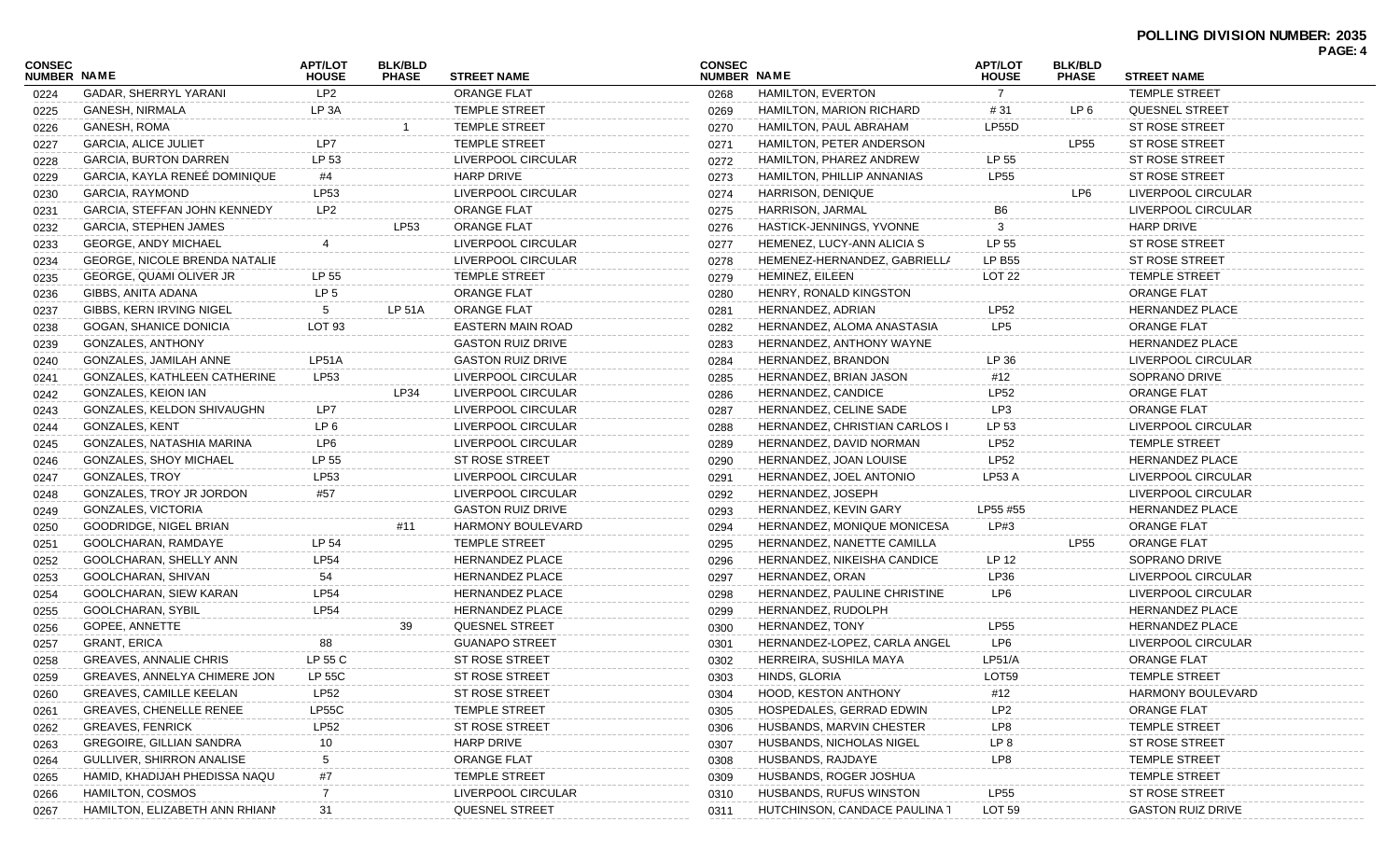| <b>CONSEC</b><br><b>NUMBER NAME</b> |                                      | <b>APT/LOT</b><br><b>HOUSE</b> | <b>BLK/BLD</b><br><b>PHASE</b> | <b>STREET NAME</b>       | <b>CONSEC</b><br>NUMBER NAME |                                      | <b>APT/LOT</b><br><b>HOUSE</b> | <b>BLK/BLD</b><br><b>PHASE</b> | <b>STREET NAME</b>       |  |
|-------------------------------------|--------------------------------------|--------------------------------|--------------------------------|--------------------------|------------------------------|--------------------------------------|--------------------------------|--------------------------------|--------------------------|--|
| 0224                                | GADAR, SHERRYL YARANI                | LP <sub>2</sub>                |                                | <b>ORANGE FLAT</b>       | 0268                         | <b>HAMILTON, EVERTON</b>             | $\overline{7}$                 |                                | <b>TEMPLE STREET</b>     |  |
| 0225                                | GANESH, NIRMALA                      | LP 3A                          |                                | <b>TEMPLE STREET</b>     | 0269                         | <b>HAMILTON, MARION RICHARD</b>      | # 31                           | LP 6                           | <b>QUESNEL STREET</b>    |  |
| 0226                                | <b>GANESH, ROMA</b>                  |                                |                                | <b>TEMPLE STREET</b>     | 0270                         | HAMILTON, PAUL ABRAHAM               | LP55D                          |                                | <b>ST ROSE STREET</b>    |  |
| 0227                                | <b>GARCIA, ALICE JULIET</b>          | LP7                            |                                | <b>TEMPLE STREET</b>     | 0271                         | HAMILTON, PETER ANDERSON             |                                | LP55                           | <b>ST ROSE STREET</b>    |  |
| 0228                                | <b>GARCIA, BURTON DARREN</b>         | LP 53                          |                                | LIVERPOOL CIRCULAR       | 0272                         | HAMILTON, PHAREZ ANDREW              | LP 55                          |                                | <b>ST ROSE STREET</b>    |  |
| 0229                                | GARCIA, KAYLA RENEÉ DOMINIQUE        | #4                             |                                | HARP DRIVE               | 0273                         | HAMILTON, PHILLIP ANNANIAS           | <b>LP55</b>                    |                                | <b>ST ROSE STREET</b>    |  |
| 0230                                | GARCIA, RAYMOND                      | LP53                           |                                | LIVERPOOL CIRCULAR       | 0274                         | HARRISON, DENIQUE                    |                                | LP6                            | LIVERPOOL CIRCULAR       |  |
| 0231                                | <b>GARCIA, STEFFAN JOHN KENNEDY</b>  | LP <sub>2</sub>                |                                | <b>ORANGE FLAT</b>       | 0275                         | HARRISON, JARMAL                     | B6                             |                                | LIVERPOOL CIRCULAR       |  |
| 0232                                | <b>GARCIA, STEPHEN JAMES</b>         |                                | LP53                           | <b>ORANGE FLAT</b>       | 0276                         | HASTICK-JENNINGS, YVONNE             | 3                              |                                | <b>HARP DRIVE</b>        |  |
| 0233                                | <b>GEORGE, ANDY MICHAEL</b>          |                                |                                | LIVERPOOL CIRCULAR       | 0277                         | HEMENEZ, LUCY-ANN ALICIA S           | LP 55                          |                                | <b>ST ROSE STREET</b>    |  |
| 0234                                | <b>GEORGE, NICOLE BRENDA NATALIE</b> |                                |                                | LIVERPOOL CIRCULAR       | 0278                         | HEMENEZ-HERNANDEZ, GABRIELLA         | <b>LP B55</b>                  |                                | <b>ST ROSE STREET</b>    |  |
| 0235                                | GEORGE, QUAMI OLIVER JR              | LP 55                          |                                | <b>TEMPLE STREET</b>     | 0279                         | HEMINEZ, EILEEN                      | LOT <sub>22</sub>              |                                | <b>TEMPLE STREET</b>     |  |
| 0236                                | GIBBS, ANITA ADANA                   | LP <sub>5</sub>                |                                | <b>ORANGE FLAT</b>       | 0280                         | HENRY, RONALD KINGSTON               |                                |                                | <b>ORANGE FLAT</b>       |  |
| 0237                                | GIBBS, KERN IRVING NIGEL             | 5                              | LP 51A                         | <b>ORANGE FLAT</b>       | 0281                         | HERNANDEZ, ADRIAN                    | LP52                           |                                | <b>HERNANDEZ PLACE</b>   |  |
| 0238                                | GOGAN, SHANICE DONICIA               | LOT <sub>93</sub>              |                                | <b>EASTERN MAIN ROAD</b> | 0282                         | HERNANDEZ, ALOMA ANASTASIA           | LP5                            |                                | <b>ORANGE FLAT</b>       |  |
| 0239                                | GONZALES, ANTHONY                    |                                |                                | <b>GASTON RUIZ DRIVE</b> | 0283                         | HERNANDEZ, ANTHONY WAYNE             |                                |                                | <b>HERNANDEZ PLACE</b>   |  |
| 0240                                | GONZALES, JAMILAH ANNE               | LP51A                          |                                | <b>GASTON RUIZ DRIVE</b> | 0284                         | HERNANDEZ, BRANDON                   | LP 36                          |                                | LIVERPOOL CIRCULAR       |  |
| 0241                                | GONZALES, KATHLEEN CATHERINE         | LP53                           |                                | LIVERPOOL CIRCULAR       | 0285                         | HERNANDEZ, BRIAN JASON               | #12                            |                                | SOPRANO DRIVE            |  |
| 0242                                | GONZALES, KEION IAN                  |                                | LP34                           | LIVERPOOL CIRCULAR       | 0286                         | HERNANDEZ, CANDICE                   | <b>LP52</b>                    |                                | <b>ORANGE FLAT</b>       |  |
| 0243                                | GONZALES, KELDON SHIVAUGHN           | LP7                            |                                | LIVERPOOL CIRCULAR       | 0287                         | HERNANDEZ, CELINE SADE               | LP3                            |                                | <b>ORANGE FLAT</b>       |  |
| 0244                                | GONZALES, KENT                       | LP 6                           |                                | LIVERPOOL CIRCULAR       | 0288                         | <b>HERNANDEZ, CHRISTIAN CARLOS I</b> | LP 53                          |                                | LIVERPOOL CIRCULAR       |  |
| 0245                                | GONZALES, NATASHIA MARINA            | LP6                            |                                | LIVERPOOL CIRCULAR       | 0289                         | HERNANDEZ, DAVID NORMAN              | LP52                           |                                | TEMPLE STREET            |  |
| 0246                                | <b>GONZALES, SHOY MICHAEL</b>        | LP 55                          |                                | <b>ST ROSE STREET</b>    | 0290                         | HERNANDEZ, JOAN LOUISE               | <b>LP52</b>                    |                                | <b>HERNANDEZ PLACE</b>   |  |
| 0247                                | GONZALES, TROY                       | LP53                           |                                | LIVERPOOL CIRCULAR       | 0291                         | HERNANDEZ, JOEL ANTONIO              | <b>LP53 A</b>                  |                                | LIVERPOOL CIRCULAR       |  |
| 0248                                | GONZALES, TROY JR JORDON             | #57                            |                                | LIVERPOOL CIRCULAR       | 0292                         | HERNANDEZ, JOSEPH                    |                                |                                | LIVERPOOL CIRCULAR       |  |
| 0249                                | GONZALES, VICTORIA                   |                                |                                | <b>GASTON RUIZ DRIVE</b> | 0293                         | HERNANDEZ, KEVIN GARY                | LP55 #55                       |                                | <b>HERNANDEZ PLACE</b>   |  |
| 0250                                | GOODRIDGE, NIGEL BRIAN               |                                | #11                            | <b>HARMONY BOULEVARD</b> | 0294                         | HERNANDEZ, MONIQUE MONICESA          | LP#3                           |                                | <b>ORANGE FLAT</b>       |  |
| 0251                                | GOOLCHARAN, RAMDAYE                  | LP 54                          |                                | <b>TEMPLE STREET</b>     | 0295                         | HERNANDEZ, NANETTE CAMILLA           |                                | <b>LP55</b>                    | <b>ORANGE FLAT</b>       |  |
| 0252                                | GOOLCHARAN, SHELLY ANN               | <b>LP54</b>                    |                                | HERNANDEZ PLACE          | 0296                         | HERNANDEZ, NIKEISHA CANDICE          | LP 12                          |                                | SOPRANO DRIVE            |  |
| 0253                                | GOOLCHARAN, SHIVAN                   | 54                             |                                | <b>HERNANDEZ PLACE</b>   | 0297                         | HERNANDEZ, ORAN                      | LP36                           |                                | LIVERPOOL CIRCULAR       |  |
| 0254                                | GOOLCHARAN, SIEW KARAN               | <b>LP54</b>                    |                                | HERNANDEZ PLACE          | 0298                         | HERNANDEZ, PAULINE CHRISTINE         | LP6                            |                                | LIVERPOOL CIRCULAR       |  |
| 0255                                | GOOLCHARAN, SYBIL                    | <b>LP54</b>                    |                                | <b>HERNANDEZ PLACE</b>   | 0299                         | HERNANDEZ, RUDOLPH                   |                                |                                | <b>HERNANDEZ PLACE</b>   |  |
| 0256                                | GOPEE, ANNETTE                       |                                | 39                             | QUESNEL STREET           | 0300                         | HERNANDEZ, TONY                      | <b>LP55</b>                    |                                | <b>HERNANDEZ PLACE</b>   |  |
| 0257                                | <b>GRANT, ERICA</b>                  | 88                             |                                | <b>GUANAPO STREET</b>    | 0301                         | HERNANDEZ-LOPEZ, CARLA ANGEL         | LP6                            |                                | LIVERPOOL CIRCULAR       |  |
| 0258                                | <b>GREAVES, ANNALIE CHRIS</b>        | LP 55 C                        |                                | <b>ST ROSE STREET</b>    | 0302                         | HERREIRA, SUSHILA MAYA               | LP51/A                         |                                | <b>ORANGE FLAT</b>       |  |
| 0259                                | GREAVES, ANNELYA CHIMERE JON         | LP 55C                         |                                | ST ROSE STREET           | 0303                         | HINDS, GLORIA                        | <b>LOT59</b>                   |                                | TEMPLE STREET            |  |
| 0260                                | <b>GREAVES, CAMILLE KEELAN</b>       | LP52                           |                                | ST ROSE STREET           | 0304                         | <b>HOOD, KESTON ANTHONY</b>          | #12                            |                                | <b>HARMONY BOULEVARD</b> |  |
| 0261                                | <b>GREAVES, CHENELLE RENEE</b>       | LP55C                          |                                | <b>TEMPLE STREET</b>     | 0305                         | HOSPEDALES, GERRAD EDWIN             | LP2                            |                                | <b>ORANGE FLAT</b>       |  |
| 0262                                | <b>GREAVES, FENRICK</b>              | <b>LP52</b>                    |                                | <b>ST ROSE STREET</b>    | 0306                         | HUSBANDS, MARVIN CHESTER             | LP8                            |                                | <b>TEMPLE STREET</b>     |  |
| 0263                                | <b>GREGOIRE, GILLIAN SANDRA</b>      | 10                             |                                | HARP DRIVE               | 0307                         | HUSBANDS, NICHOLAS NIGEL             | LP 8                           |                                | ST ROSE STREET           |  |
| 0264                                | GULLIVER, SHIRRON ANALISE            | 5                              |                                | <b>ORANGE FLAT</b>       | 0308                         | HUSBANDS, RAJDAYE                    | LP8                            |                                | <b>TEMPLE STREET</b>     |  |
| 0265                                | HAMID, KHADIJAH PHEDISSA NAQU        | #7                             |                                | <b>TEMPLE STREET</b>     | 0309                         | HUSBANDS, ROGER JOSHUA               |                                |                                | <b>TEMPLE STREET</b>     |  |
| 0266                                | HAMILTON, COSMOS                     | 7                              |                                | LIVERPOOL CIRCULAR       | 0310                         | HUSBANDS, RUFUS WINSTON              | <b>LP55</b>                    |                                | <b>ST ROSE STREET</b>    |  |
| 0267                                | HAMILTON, ELIZABETH ANN RHIANN       | 31                             |                                | QUESNEL STREET           | 0311                         | HUTCHINSON, CANDACE PAULINA 1        | LOT <sub>59</sub>              |                                | <b>GASTON RUIZ DRIVE</b> |  |
|                                     |                                      |                                |                                |                          |                              |                                      |                                |                                |                          |  |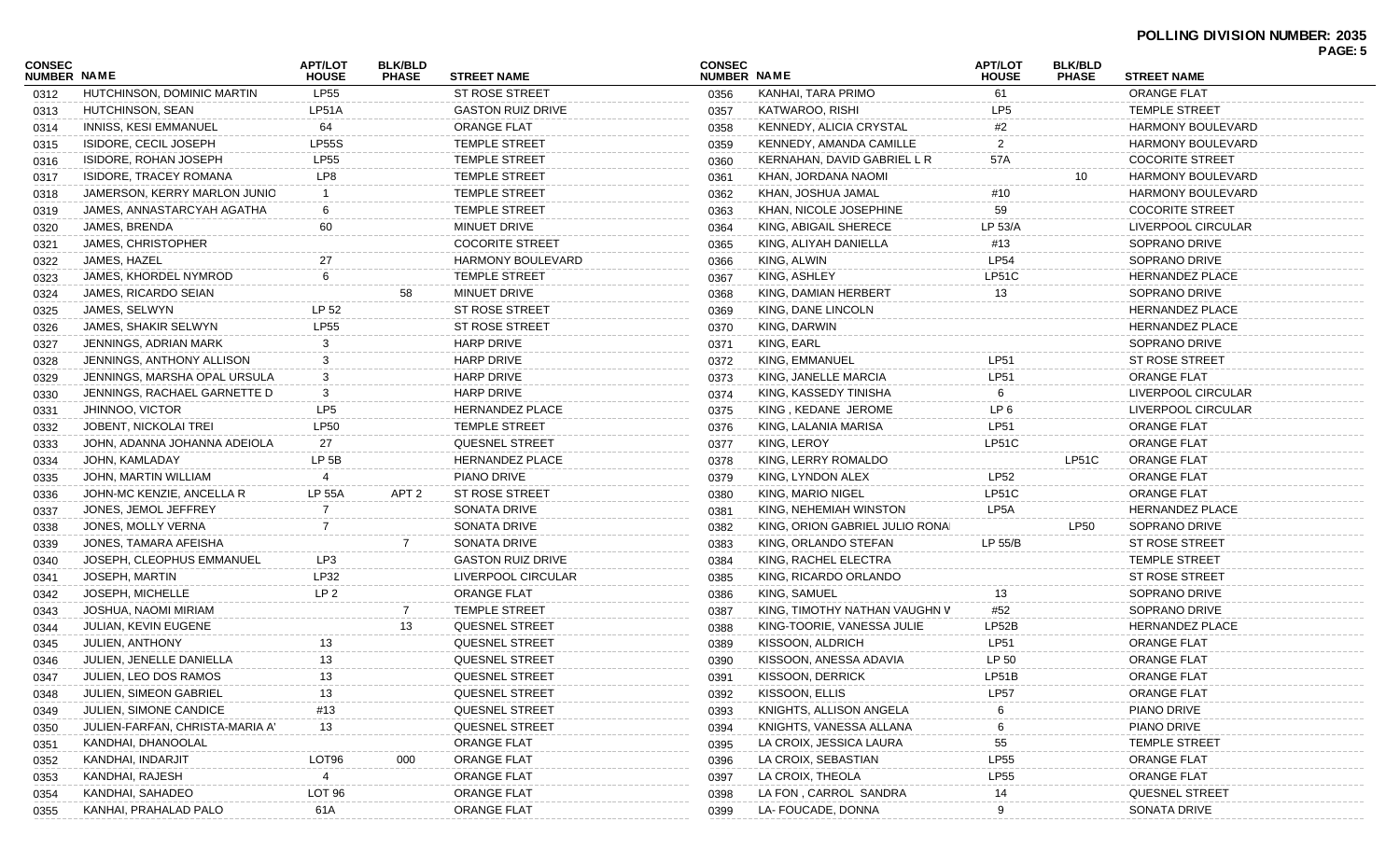| CONSEC<br><b>NUMBER NAME</b> |                                 | <b>APT/LOT</b><br><b>HOUSE</b> | <b>BLK/BLD</b><br><b>PHASE</b> | <b>STREET NAME</b>       | <b>CONSEC</b><br>NUMBER NAME |                                 | <b>APT/LOT</b><br><b>HOUSE</b> | <b>BLK/BLD</b><br><b>PHASE</b> | <b>STREET NAME</b>       |  |
|------------------------------|---------------------------------|--------------------------------|--------------------------------|--------------------------|------------------------------|---------------------------------|--------------------------------|--------------------------------|--------------------------|--|
| 0312                         | HUTCHINSON, DOMINIC MARTIN      | <b>LP55</b>                    |                                | ST ROSE STREET           | 0356                         | KANHAI, TARA PRIMO              | 61                             |                                | <b>ORANGE FLAT</b>       |  |
| 0313                         | HUTCHINSON, SEAN                | LP51A                          |                                | <b>GASTON RUIZ DRIVE</b> | 0357                         | KATWAROO, RISHI                 | LP <sub>5</sub>                |                                | TEMPLE STREET            |  |
| 0314                         | INNISS, KESI EMMANUEL           | 64                             |                                | <b>ORANGE FLAT</b>       | 0358                         | KENNEDY, ALICIA CRYSTAL         | #2                             |                                | <b>HARMONY BOULEVARD</b> |  |
| 0315                         | ISIDORE, CECIL JOSEPH           | <b>LP55S</b>                   |                                | <b>TEMPLE STREET</b>     | 0359                         | KENNEDY, AMANDA CAMILLE         |                                |                                | <b>HARMONY BOULEVARD</b> |  |
| 0316                         | ISIDORE, ROHAN JOSEPH           | <b>LP55</b>                    |                                | <b>TEMPLE STREET</b>     | 0360                         | KERNAHAN, DAVID GABRIEL L R     | 57A                            |                                | <b>COCORITE STREET</b>   |  |
| 0317                         | ISIDORE, TRACEY ROMANA          | LP8                            |                                | <b>TEMPLE STREET</b>     | 0361                         | KHAN, JORDANA NAOMI             |                                | 10                             | <b>HARMONY BOULEVARD</b> |  |
| 0318                         | JAMERSON, KERRY MARLON JUNIO    |                                |                                | <b>TEMPLE STREET</b>     | 0362                         | KHAN, JOSHUA JAMAL              | #10                            |                                | <b>HARMONY BOULEVARD</b> |  |
| 0319                         | JAMES, ANNASTARCYAH AGATHA      |                                |                                | <b>TEMPLE STREET</b>     | 0363                         | KHAN, NICOLE JOSEPHINE          | 59                             |                                | <b>COCORITE STREET</b>   |  |
| 0320                         | JAMES, BRENDA                   | 60                             |                                | MINUET DRIVE             | 0364                         | KING, ABIGAIL SHERECE           | LP 53/A                        |                                | LIVERPOOL CIRCULAR       |  |
| 0321                         | JAMES, CHRISTOPHER              |                                |                                | <b>COCORITE STREET</b>   | 0365                         | KING, ALIYAH DANIELLA           | #13                            |                                | SOPRANO DRIVE            |  |
| 0322                         | JAMES, HAZEL                    |                                |                                | <b>HARMONY BOULEVARD</b> | 0366                         | KING, ALWIN                     | <b>LP54</b>                    |                                | SOPRANO DRIVE            |  |
| 0323                         | JAMES, KHORDEL NYMROD           |                                |                                | <b>TEMPLE STREET</b>     | 0367                         | KING, ASHLEY                    | LP51C                          |                                | <b>HERNANDEZ PLACE</b>   |  |
| 0324                         | JAMES, RICARDO SEIAN            |                                | 58                             | MINUET DRIVE             | 0368                         | KING, DAMIAN HERBERT            | 13                             |                                | SOPRANO DRIVE            |  |
| 0325                         | JAMES, SELWYN                   | LP 52                          |                                | ST ROSE STREET           | 0369                         | KING, DANE LINCOLN              |                                |                                | <b>HERNANDEZ PLACE</b>   |  |
| 0326                         | JAMES, SHAKIR SELWYN            | <b>LP55</b>                    |                                | <b>ST ROSE STREET</b>    | 0370                         | KING, DARWIN                    |                                |                                | <b>HERNANDEZ PLACE</b>   |  |
| 0327                         | JENNINGS, ADRIAN MARK           |                                |                                | <b>HARP DRIVE</b>        | 0371                         | KING, EARL                      |                                |                                | SOPRANO DRIVE            |  |
| 0328                         | JENNINGS, ANTHONY ALLISON       |                                |                                | <b>HARP DRIVE</b>        | 0372                         | KING, EMMANUEL                  | <b>LP51</b>                    |                                | ST ROSE STREET           |  |
| 0329                         | JENNINGS, MARSHA OPAL URSULA    | 3                              |                                | <b>HARP DRIVE</b>        | 0373                         | KING, JANELLE MARCIA            | <b>LP51</b>                    |                                | <b>ORANGE FLAT</b>       |  |
| 0330                         | JENNINGS, RACHAEL GARNETTE D    | 3                              |                                | <b>HARP DRIVE</b>        | 0374                         | KING, KASSEDY TINISHA           | 6                              |                                | LIVERPOOL CIRCULAR       |  |
| 0331                         | JHINNOO, VICTOR                 | LP <sub>5</sub>                |                                | <b>HERNANDEZ PLACE</b>   | 0375                         | KING, KEDANE JEROME             | LP <sub>6</sub>                |                                | LIVERPOOL CIRCULAR       |  |
| 0332                         | <b>JOBENT, NICKOLAI TREI</b>    | <b>LP50</b>                    |                                | <b>TEMPLE STREET</b>     | 0376                         | KING, LALANIA MARISA            | <b>LP51</b>                    |                                | <b>ORANGE FLAT</b>       |  |
| 0333                         | JOHN, ADANNA JOHANNA ADEIOLA    | 27                             |                                | <b>QUESNEL STREET</b>    | 0377                         | KING, LEROY                     | <b>LP51C</b>                   |                                | <b>ORANGE FLAT</b>       |  |
| 0334                         | JOHN, KAMLADAY                  | LP <sub>5B</sub>               |                                | <b>HERNANDEZ PLACE</b>   | 0378                         | KING, LERRY ROMALDO             |                                | LP51C                          | <b>ORANGE FLAT</b>       |  |
| 0335                         | JOHN, MARTIN WILLIAM            |                                |                                | PIANO DRIVE              | 0379                         | KING, LYNDON ALEX               | LP52                           |                                | <b>ORANGE FLAT</b>       |  |
| 0336                         | JOHN-MC KENZIE, ANCELLA R       | <b>LP 55A</b>                  | APT 2                          | <b>ST ROSE STREET</b>    | 0380                         | KING, MARIO NIGEL               | <b>LP51C</b>                   |                                | <b>ORANGE FLAT</b>       |  |
| 0337                         | JONES, JEMOL JEFFREY            |                                |                                | SONATA DRIVE             | 0381                         | KING, NEHEMIAH WINSTON          | LP <sub>5</sub> A              |                                | <b>HERNANDEZ PLACE</b>   |  |
| 0338                         | JONES, MOLLY VERNA              |                                |                                | SONATA DRIVE             | 0382                         | KING, ORION GABRIEL JULIO RONAI |                                | <b>LP50</b>                    | SOPRANO DRIVE            |  |
| 0339                         | JONES, TAMARA AFEISHA           |                                |                                | SONATA DRIVE             | 0383                         | KING, ORLANDO STEFAN            | LP 55/B                        |                                | <b>ST ROSE STREET</b>    |  |
| 0340                         | JOSEPH, CLEOPHUS EMMANUEL       | LP3                            |                                | <b>GASTON RUIZ DRIVE</b> | 0384                         | KING, RACHEL ELECTRA            |                                |                                | <b>TEMPLE STREET</b>     |  |
| 0341                         | <b>JOSEPH, MARTIN</b>           | LP32                           |                                | LIVERPOOL CIRCULAR       | 0385                         | KING, RICARDO ORLANDO           |                                |                                | <b>ST ROSE STREET</b>    |  |
| 0342                         | JOSEPH, MICHELLE                | LP <sub>2</sub>                |                                | ORANGE FLAT              | 0386                         | KING, SAMUEL                    | 13                             |                                | SOPRANO DRIVE            |  |
| 0343                         | JOSHUA, NAOMI MIRIAM            |                                | $\overline{7}$                 | <b>TEMPLE STREET</b>     | 0387                         | KING, TIMOTHY NATHAN VAUGHN V   | #52                            |                                | SOPRANO DRIVE            |  |
| 0344                         | <b>JULIAN, KEVIN EUGENE</b>     |                                | 13                             | QUESNEL STREET           | 0388                         | KING-TOORIE, VANESSA JULIE      | LP52B                          |                                | <b>HERNANDEZ PLACE</b>   |  |
| 0345                         | JULIEN, ANTHONY                 | 13                             |                                | <b>QUESNEL STREET</b>    | 0389                         | KISSOON, ALDRICH                | <b>LP51</b>                    |                                | <b>ORANGE FLAT</b>       |  |
| 0346                         | JULIEN, JENELLE DANIELLA        | 13                             |                                | <b>QUESNEL STREET</b>    | 0390                         | KISSOON, ANESSA ADAVIA          | LP 50                          |                                | <b>ORANGE FLAT</b>       |  |
| 0347                         | JULIEN, LEO DOS RAMOS           |                                |                                | QUESNEL STREET           | 0391                         | KISSOON, DERRICK                | LP51B                          |                                | ORANGE FLAT              |  |
| 0348                         | JULIEN, SIMEON GABRIEL          |                                |                                | QUESNEL STREET           | 0392                         | KISSOON, ELLIS                  | <b>LP57</b>                    |                                | <b>ORANGE FLAT</b>       |  |
| 0349                         | <b>JULIEN, SIMONE CANDICE</b>   | #13                            |                                | QUESNEL STREET           | 0393                         | KNIGHTS, ALLISON ANGELA         |                                |                                | PIANO DRIVE              |  |
| 0350                         | JULIEN-FARFAN, CHRISTA-MARIA A' | 13                             |                                | QUESNEL STREET           | 0394                         | KNIGHTS, VANESSA ALLANA         |                                |                                | PIANO DRIVE              |  |
| 0351                         | KANDHAI, DHANOOLAL              |                                |                                | ORANGE FLAT              | 0395                         | LA CROIX, JESSICA LAURA         | 55                             |                                | TEMPLE STREET            |  |
| 0352                         | KANDHAI, INDARJIT               | LOT96                          |                                | ORANGE FLAT              | 0396                         | LA CROIX, SEBASTIAN             | <b>LP55</b>                    |                                | <b>ORANGE FLAT</b>       |  |
| 0353                         | KANDHAI, RAJESH                 | -4                             |                                | ORANGE FLAT              | 0397                         | LA CROIX, THEOLA                | LP55                           |                                | <b>ORANGE FLAT</b>       |  |
| 0354                         | KANDHAI, SAHADEO                | LOT 96                         |                                | ORANGE FLAT              | 0398                         | LA FON, CARROL SANDRA           | 14                             |                                | QUESNEL STREET           |  |
| 0355                         | KANHAI, PRAHALAD PALO           | 61A                            |                                | ORANGE FLAT              | 0399                         | LA- FOUCADE, DONNA              | 9                              |                                | SONATA DRIVE             |  |
|                              |                                 |                                |                                |                          |                              |                                 |                                |                                |                          |  |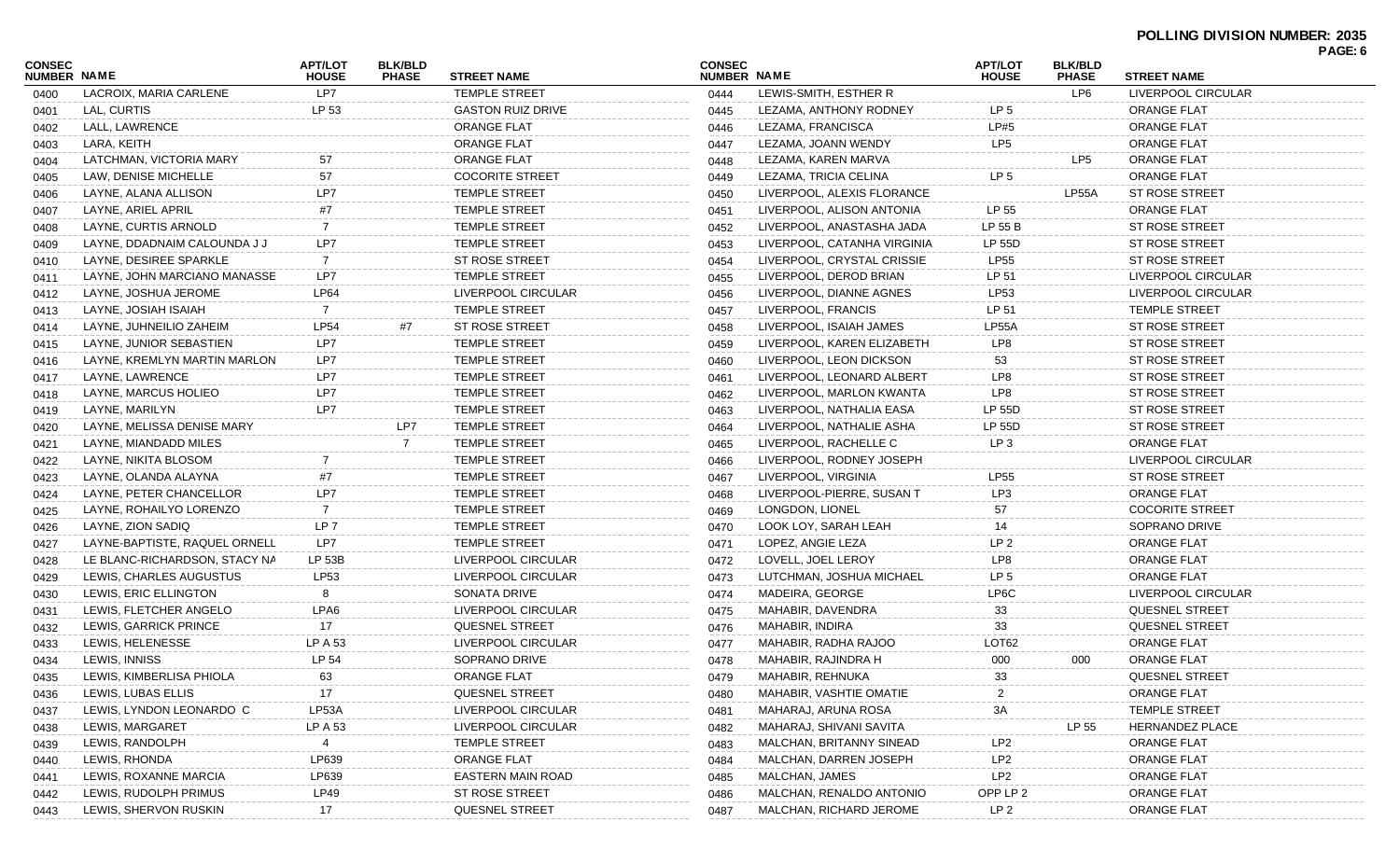## **POLLING DIVISION NUMBER: 2035**

| LP7<br>LEWIS-SMITH, ESTHER R<br>LP6<br>LACROIX, MARIA CARLENE<br><b>TEMPLE STREET</b><br>LIVERPOOL CIRCULAR<br>0444<br>0400<br>LP 53<br>LAL, CURTIS<br><b>GASTON RUIZ DRIVE</b><br>LEZAMA, ANTHONY RODNEY<br>LP <sub>5</sub><br><b>ORANGE FLAT</b><br>0445<br>0401<br>LP#5<br>LALL, LAWRENCE<br><b>ORANGE FLAT</b><br><b>ORANGE FLAT</b><br>LEZAMA, FRANCISCA<br>0446<br>0402<br>LP <sub>5</sub><br>LARA, KEITH<br><b>ORANGE FLAT</b><br>LEZAMA, JOANN WENDY<br><b>ORANGE FLAT</b><br>0447<br>0403<br>LATCHMAN, VICTORIA MARY<br><b>ORANGE FLAT</b><br>LP5<br><b>ORANGE FLAT</b><br>LEZAMA, KAREN MARVA<br>57<br>0448<br>0404<br>57<br>LP <sub>5</sub><br><b>COCORITE STREET</b><br><b>ORANGE FLAT</b><br>LAW, DENISE MICHELLE<br>LEZAMA, TRICIA CELINA<br>0449<br>0405<br>LP7<br>LP55A<br><b>ST ROSE STREET</b><br>LAYNE, ALANA ALLISON<br><b>TEMPLE STREET</b><br>LIVERPOOL, ALEXIS FLORANCE<br>0450<br>0406<br>LP 55<br>#7<br><b>ORANGE FLAT</b><br>LAYNE, ARIEL APRIL<br><b>TEMPLE STREET</b><br>LIVERPOOL, ALISON ANTONIA<br>0451<br>0407<br>TEMPLE STREET<br>LP 55 B<br><b>ST ROSE STREET</b><br>LAYNE, CURTIS ARNOLD<br>LIVERPOOL, ANASTASHA JADA<br>-7<br>0452<br>0408<br>LP7<br><b>TEMPLE STREET</b><br>LP 55D<br><b>ST ROSE STREET</b><br>LAYNE, DDADNAIM CALOUNDA J J<br>LIVERPOOL, CATANHA VIRGINIA<br>0453<br>0409<br><b>LP55</b><br><b>ST ROSE STREET</b><br>LAYNE, DESIREE SPARKLE<br>7<br>ST ROSE STREET<br>LIVERPOOL, CRYSTAL CRISSIE<br>0454<br>0410<br>LP7<br><b>TEMPLE STREET</b><br>LIVERPOOL, DEROD BRIAN<br>LP 51<br>LIVERPOOL CIRCULAR<br>LAYNE, JOHN MARCIANO MANASSE<br>0455<br>0411<br><b>LP53</b><br><b>LP64</b><br>LIVERPOOL CIRCULAR<br>LIVERPOOL, DIANNE AGNES<br>LIVERPOOL CIRCULAR<br>LAYNE, JOSHUA JEROME<br>0456<br>0412<br>LP 51<br><b>TEMPLE STREET</b><br>LIVERPOOL, FRANCIS<br><b>TEMPLE STREET</b><br>LAYNE, JOSIAH ISAIAH<br>-7<br>0457<br>0413<br><b>LP54</b><br>#7<br>LIVERPOOL, ISAIAH JAMES<br>LP55A<br><b>ST ROSE STREET</b><br>LAYNE, JUHNEILIO ZAHEIM<br>ST ROSE STREET<br>0458<br>0414<br>LP8<br>LP7<br><b>TEMPLE STREET</b><br><b>ST ROSE STREET</b><br>LAYNE, JUNIOR SEBASTIEN<br>LIVERPOOL, KAREN ELIZABETH<br>0459<br>0415<br>LP7<br><b>TEMPLE STREET</b><br>53<br><b>ST ROSE STREET</b><br>LAYNE, KREMLYN MARTIN MARLON<br>LIVERPOOL, LEON DICKSON<br>0460<br>0416<br>LP7<br>LP8<br><b>ST ROSE STREET</b><br>LAYNE, LAWRENCE<br><b>TEMPLE STREET</b><br>LIVERPOOL. LEONARD ALBERT<br>0461<br>0417<br>LP7<br>LP8<br><b>ST ROSE STREET</b><br>LAYNE, MARCUS HOLIEO<br><b>TEMPLE STREET</b><br>LIVERPOOL, MARLON KWANTA<br>0462<br>0418<br>LP7<br><b>TEMPLE STREET</b><br>LP 55D<br><b>ST ROSE STREET</b><br>LAYNE, MARILYN<br>LIVERPOOL, NATHALIA EASA<br>0463<br>0419<br>LAYNE, MELISSA DENISE MARY<br>LP7<br>LIVERPOOL, NATHALIE ASHA<br>LP 55D<br><b>ST ROSE STREET</b><br><b>TEMPLE STREET</b><br>0464<br>0420<br>$\overline{7}$<br>LIVERPOOL, RACHELLE C<br>LP <sub>3</sub><br><b>ORANGE FLAT</b><br>LAYNE, MIANDADD MILES<br><b>TEMPLE STREET</b><br>0465<br>0421<br><b>TEMPLE STREET</b><br>LIVERPOOL, RODNEY JOSEPH<br>LIVERPOOL CIRCULAR<br>LAYNE, NIKITA BLOSOM<br>0466<br>0422<br><b>TEMPLE STREET</b><br>LIVERPOOL, VIRGINIA<br><b>LP55</b><br><b>ST ROSE STREET</b><br>LAYNE, OLANDA ALAYNA<br>#7<br>0467<br>0423<br>LP7<br>LP3<br>LIVERPOOL-PIERRE, SUSAN T<br><b>ORANGE FLAT</b><br>LAYNE, PETER CHANCELLOR<br><b>TEMPLE STREET</b><br>0468<br>0424<br>LONGDON, LIONEL<br>57<br><b>COCORITE STREET</b><br>LAYNE, ROHAILYO LORENZO<br><b>TEMPLE STREET</b><br>7<br>0469<br>0425<br>LP <sub>7</sub><br><b>TEMPLE STREET</b><br>LOOK LOY, SARAH LEAH<br>SOPRANO DRIVE<br>LAYNE, ZION SADIQ<br>0470<br>14<br>0426<br>LP7<br>TEMPLE STREET<br>LP <sub>2</sub><br><b>ORANGE FLAT</b><br>LAYNE-BAPTISTE, RAQUEL ORNELL<br>LOPEZ, ANGIE LEZA<br>0471<br>0427<br>LP8<br><b>ORANGE FLAT</b><br>LE BLANC-RICHARDSON, STACY NA<br>LP 53B<br>LIVERPOOL CIRCULAR<br>LOVELL, JOEL LEROY<br>0472<br>0428<br>LP53<br>LIVERPOOL CIRCULAR<br>LUTCHMAN, JOSHUA MICHAEL<br>LP <sub>5</sub><br><b>ORANGE FLAT</b><br>LEWIS, CHARLES AUGUSTUS<br>0473<br>0429<br>LEWIS, ERIC ELLINGTON<br><b>SONATA DRIVE</b><br>MADEIRA, GEORGE<br>LP6C<br>LIVERPOOL CIRCULAR<br>8<br>0474<br>0430<br>LPA6<br>LIVERPOOL CIRCULAR<br>MAHABIR, DAVENDRA<br>33<br><b>QUESNEL STREET</b><br>LEWIS, FLETCHER ANGELO<br>0475<br>0431<br><b>QUESNEL STREET</b><br>33<br><b>QUESNEL STREET</b><br>LEWIS, GARRICK PRINCE<br>17<br>MAHABIR, INDIRA<br>0476<br>0432<br>LEWIS, HELENESSE<br>LIVERPOOL CIRCULAR<br>LOT62<br><b>ORANGE FLAT</b><br>LP A 53<br>MAHABIR, RADHA RAJOO<br>0477<br>0433<br>LP 54<br>LEWIS, INNISS<br>SOPRANO DRIVE<br>MAHABIR, RAJINDRA H<br>000<br><b>ORANGE FLAT</b><br>000<br>0434<br>0478<br>33<br>63<br>ORANGE FLAT<br>QUESNEL STREET<br>LEWIS, KIMBERLISA PHIOLA<br>MAHABIR, REHNUKA<br>0479<br>0435<br>LEWIS, LUBAS ELLIS<br>17<br>QUESNEL STREET<br><b>ORANGE FLAT</b><br><b>MAHABIR, VASHTIE OMATIE</b><br>0480<br>0436<br>3A<br>LEWIS, LYNDON LEONARDO C<br>LP53A<br>LIVERPOOL CIRCULAR<br>TEMPLE STREET<br>MAHARAJ, ARUNA ROSA<br>0481<br>0437<br>LEWIS, MARGARET<br>LP A 53<br>LP 55<br>LIVERPOOL CIRCULAR<br>MAHARAJ, SHIVANI SAVITA<br><b>HERNANDEZ PLACE</b><br>0482<br>0438<br>LP <sub>2</sub><br><b>TEMPLE STREET</b><br>LEWIS, RANDOLPH<br>MALCHAN, BRITANNY SINEAD<br>ORANGE FLAT<br>4<br>0483<br>0439<br>LP <sub>2</sub><br>LEWIS, RHONDA<br>LP639<br>ORANGE FLAT<br>MALCHAN, DARREN JOSEPH<br><b>ORANGE FLAT</b><br>0484<br>0440<br>LP <sub>2</sub><br>LEWIS, ROXANNE MARCIA<br>LP639<br>EASTERN MAIN ROAD<br>MALCHAN, JAMES<br><b>ORANGE FLAT</b><br>0485<br>0441<br>LEWIS, RUDOLPH PRIMUS<br>LP49<br>ST ROSE STREET<br>MALCHAN, RENALDO ANTONIO<br>OPP LP 2<br><b>ORANGE FLAT</b><br>0486<br>0442 | <b>CONSEC</b><br>NUMBER NAME |                       | APT/LOT<br><b>HOUSE</b> | <b>BLK/BLD</b><br><b>PHASE</b> | <b>STREET NAME</b> | <b>CONSEC</b><br>NUMBER NAME |                         | <b>APT/LOT</b><br><b>HOUSE</b> | <b>BLK/BLD</b><br><b>PHASE</b> | <b>STREET NAME</b> | PAGE: 6 |
|--------------------------------------------------------------------------------------------------------------------------------------------------------------------------------------------------------------------------------------------------------------------------------------------------------------------------------------------------------------------------------------------------------------------------------------------------------------------------------------------------------------------------------------------------------------------------------------------------------------------------------------------------------------------------------------------------------------------------------------------------------------------------------------------------------------------------------------------------------------------------------------------------------------------------------------------------------------------------------------------------------------------------------------------------------------------------------------------------------------------------------------------------------------------------------------------------------------------------------------------------------------------------------------------------------------------------------------------------------------------------------------------------------------------------------------------------------------------------------------------------------------------------------------------------------------------------------------------------------------------------------------------------------------------------------------------------------------------------------------------------------------------------------------------------------------------------------------------------------------------------------------------------------------------------------------------------------------------------------------------------------------------------------------------------------------------------------------------------------------------------------------------------------------------------------------------------------------------------------------------------------------------------------------------------------------------------------------------------------------------------------------------------------------------------------------------------------------------------------------------------------------------------------------------------------------------------------------------------------------------------------------------------------------------------------------------------------------------------------------------------------------------------------------------------------------------------------------------------------------------------------------------------------------------------------------------------------------------------------------------------------------------------------------------------------------------------------------------------------------------------------------------------------------------------------------------------------------------------------------------------------------------------------------------------------------------------------------------------------------------------------------------------------------------------------------------------------------------------------------------------------------------------------------------------------------------------------------------------------------------------------------------------------------------------------------------------------------------------------------------------------------------------------------------------------------------------------------------------------------------------------------------------------------------------------------------------------------------------------------------------------------------------------------------------------------------------------------------------------------------------------------------------------------------------------------------------------------------------------------------------------------------------------------------------------------------------------------------------------------------------------------------------------------------------------------------------------------------------------------------------------------------------------------------------------------------------------------------------------------------------------------------------------------------------------------------------------------------------------------------------------------------------------------------------------------------------------------------------------------------------------------------------------------------------------------------------------------------------------------------------------------------------------------------------------------------------------------------------------------------------------------------------------------------------------------------------------------------------------------------------------------------------------------------------------------------------------------------------------------------------------------------------------------------------------------------------------------------------------------------------------------------------------------------------------------------------------------------------------------------------------------------------------------------------------------------------------------------------------------------------------------------|------------------------------|-----------------------|-------------------------|--------------------------------|--------------------|------------------------------|-------------------------|--------------------------------|--------------------------------|--------------------|---------|
|                                                                                                                                                                                                                                                                                                                                                                                                                                                                                                                                                                                                                                                                                                                                                                                                                                                                                                                                                                                                                                                                                                                                                                                                                                                                                                                                                                                                                                                                                                                                                                                                                                                                                                                                                                                                                                                                                                                                                                                                                                                                                                                                                                                                                                                                                                                                                                                                                                                                                                                                                                                                                                                                                                                                                                                                                                                                                                                                                                                                                                                                                                                                                                                                                                                                                                                                                                                                                                                                                                                                                                                                                                                                                                                                                                                                                                                                                                                                                                                                                                                                                                                                                                                                                                                                                                                                                                                                                                                                                                                                                                                                                                                                                                                                                                                                                                                                                                                                                                                                                                                                                                                                                                                                                                                                                                                                                                                                                                                                                                                                                                                                                                                                                                                                                                    |                              |                       |                         |                                |                    |                              |                         |                                |                                |                    |         |
|                                                                                                                                                                                                                                                                                                                                                                                                                                                                                                                                                                                                                                                                                                                                                                                                                                                                                                                                                                                                                                                                                                                                                                                                                                                                                                                                                                                                                                                                                                                                                                                                                                                                                                                                                                                                                                                                                                                                                                                                                                                                                                                                                                                                                                                                                                                                                                                                                                                                                                                                                                                                                                                                                                                                                                                                                                                                                                                                                                                                                                                                                                                                                                                                                                                                                                                                                                                                                                                                                                                                                                                                                                                                                                                                                                                                                                                                                                                                                                                                                                                                                                                                                                                                                                                                                                                                                                                                                                                                                                                                                                                                                                                                                                                                                                                                                                                                                                                                                                                                                                                                                                                                                                                                                                                                                                                                                                                                                                                                                                                                                                                                                                                                                                                                                                    |                              |                       |                         |                                |                    |                              |                         |                                |                                |                    |         |
|                                                                                                                                                                                                                                                                                                                                                                                                                                                                                                                                                                                                                                                                                                                                                                                                                                                                                                                                                                                                                                                                                                                                                                                                                                                                                                                                                                                                                                                                                                                                                                                                                                                                                                                                                                                                                                                                                                                                                                                                                                                                                                                                                                                                                                                                                                                                                                                                                                                                                                                                                                                                                                                                                                                                                                                                                                                                                                                                                                                                                                                                                                                                                                                                                                                                                                                                                                                                                                                                                                                                                                                                                                                                                                                                                                                                                                                                                                                                                                                                                                                                                                                                                                                                                                                                                                                                                                                                                                                                                                                                                                                                                                                                                                                                                                                                                                                                                                                                                                                                                                                                                                                                                                                                                                                                                                                                                                                                                                                                                                                                                                                                                                                                                                                                                                    |                              |                       |                         |                                |                    |                              |                         |                                |                                |                    |         |
|                                                                                                                                                                                                                                                                                                                                                                                                                                                                                                                                                                                                                                                                                                                                                                                                                                                                                                                                                                                                                                                                                                                                                                                                                                                                                                                                                                                                                                                                                                                                                                                                                                                                                                                                                                                                                                                                                                                                                                                                                                                                                                                                                                                                                                                                                                                                                                                                                                                                                                                                                                                                                                                                                                                                                                                                                                                                                                                                                                                                                                                                                                                                                                                                                                                                                                                                                                                                                                                                                                                                                                                                                                                                                                                                                                                                                                                                                                                                                                                                                                                                                                                                                                                                                                                                                                                                                                                                                                                                                                                                                                                                                                                                                                                                                                                                                                                                                                                                                                                                                                                                                                                                                                                                                                                                                                                                                                                                                                                                                                                                                                                                                                                                                                                                                                    |                              |                       |                         |                                |                    |                              |                         |                                |                                |                    |         |
|                                                                                                                                                                                                                                                                                                                                                                                                                                                                                                                                                                                                                                                                                                                                                                                                                                                                                                                                                                                                                                                                                                                                                                                                                                                                                                                                                                                                                                                                                                                                                                                                                                                                                                                                                                                                                                                                                                                                                                                                                                                                                                                                                                                                                                                                                                                                                                                                                                                                                                                                                                                                                                                                                                                                                                                                                                                                                                                                                                                                                                                                                                                                                                                                                                                                                                                                                                                                                                                                                                                                                                                                                                                                                                                                                                                                                                                                                                                                                                                                                                                                                                                                                                                                                                                                                                                                                                                                                                                                                                                                                                                                                                                                                                                                                                                                                                                                                                                                                                                                                                                                                                                                                                                                                                                                                                                                                                                                                                                                                                                                                                                                                                                                                                                                                                    |                              |                       |                         |                                |                    |                              |                         |                                |                                |                    |         |
|                                                                                                                                                                                                                                                                                                                                                                                                                                                                                                                                                                                                                                                                                                                                                                                                                                                                                                                                                                                                                                                                                                                                                                                                                                                                                                                                                                                                                                                                                                                                                                                                                                                                                                                                                                                                                                                                                                                                                                                                                                                                                                                                                                                                                                                                                                                                                                                                                                                                                                                                                                                                                                                                                                                                                                                                                                                                                                                                                                                                                                                                                                                                                                                                                                                                                                                                                                                                                                                                                                                                                                                                                                                                                                                                                                                                                                                                                                                                                                                                                                                                                                                                                                                                                                                                                                                                                                                                                                                                                                                                                                                                                                                                                                                                                                                                                                                                                                                                                                                                                                                                                                                                                                                                                                                                                                                                                                                                                                                                                                                                                                                                                                                                                                                                                                    |                              |                       |                         |                                |                    |                              |                         |                                |                                |                    |         |
|                                                                                                                                                                                                                                                                                                                                                                                                                                                                                                                                                                                                                                                                                                                                                                                                                                                                                                                                                                                                                                                                                                                                                                                                                                                                                                                                                                                                                                                                                                                                                                                                                                                                                                                                                                                                                                                                                                                                                                                                                                                                                                                                                                                                                                                                                                                                                                                                                                                                                                                                                                                                                                                                                                                                                                                                                                                                                                                                                                                                                                                                                                                                                                                                                                                                                                                                                                                                                                                                                                                                                                                                                                                                                                                                                                                                                                                                                                                                                                                                                                                                                                                                                                                                                                                                                                                                                                                                                                                                                                                                                                                                                                                                                                                                                                                                                                                                                                                                                                                                                                                                                                                                                                                                                                                                                                                                                                                                                                                                                                                                                                                                                                                                                                                                                                    |                              |                       |                         |                                |                    |                              |                         |                                |                                |                    |         |
|                                                                                                                                                                                                                                                                                                                                                                                                                                                                                                                                                                                                                                                                                                                                                                                                                                                                                                                                                                                                                                                                                                                                                                                                                                                                                                                                                                                                                                                                                                                                                                                                                                                                                                                                                                                                                                                                                                                                                                                                                                                                                                                                                                                                                                                                                                                                                                                                                                                                                                                                                                                                                                                                                                                                                                                                                                                                                                                                                                                                                                                                                                                                                                                                                                                                                                                                                                                                                                                                                                                                                                                                                                                                                                                                                                                                                                                                                                                                                                                                                                                                                                                                                                                                                                                                                                                                                                                                                                                                                                                                                                                                                                                                                                                                                                                                                                                                                                                                                                                                                                                                                                                                                                                                                                                                                                                                                                                                                                                                                                                                                                                                                                                                                                                                                                    |                              |                       |                         |                                |                    |                              |                         |                                |                                |                    |         |
|                                                                                                                                                                                                                                                                                                                                                                                                                                                                                                                                                                                                                                                                                                                                                                                                                                                                                                                                                                                                                                                                                                                                                                                                                                                                                                                                                                                                                                                                                                                                                                                                                                                                                                                                                                                                                                                                                                                                                                                                                                                                                                                                                                                                                                                                                                                                                                                                                                                                                                                                                                                                                                                                                                                                                                                                                                                                                                                                                                                                                                                                                                                                                                                                                                                                                                                                                                                                                                                                                                                                                                                                                                                                                                                                                                                                                                                                                                                                                                                                                                                                                                                                                                                                                                                                                                                                                                                                                                                                                                                                                                                                                                                                                                                                                                                                                                                                                                                                                                                                                                                                                                                                                                                                                                                                                                                                                                                                                                                                                                                                                                                                                                                                                                                                                                    |                              |                       |                         |                                |                    |                              |                         |                                |                                |                    |         |
|                                                                                                                                                                                                                                                                                                                                                                                                                                                                                                                                                                                                                                                                                                                                                                                                                                                                                                                                                                                                                                                                                                                                                                                                                                                                                                                                                                                                                                                                                                                                                                                                                                                                                                                                                                                                                                                                                                                                                                                                                                                                                                                                                                                                                                                                                                                                                                                                                                                                                                                                                                                                                                                                                                                                                                                                                                                                                                                                                                                                                                                                                                                                                                                                                                                                                                                                                                                                                                                                                                                                                                                                                                                                                                                                                                                                                                                                                                                                                                                                                                                                                                                                                                                                                                                                                                                                                                                                                                                                                                                                                                                                                                                                                                                                                                                                                                                                                                                                                                                                                                                                                                                                                                                                                                                                                                                                                                                                                                                                                                                                                                                                                                                                                                                                                                    |                              |                       |                         |                                |                    |                              |                         |                                |                                |                    |         |
|                                                                                                                                                                                                                                                                                                                                                                                                                                                                                                                                                                                                                                                                                                                                                                                                                                                                                                                                                                                                                                                                                                                                                                                                                                                                                                                                                                                                                                                                                                                                                                                                                                                                                                                                                                                                                                                                                                                                                                                                                                                                                                                                                                                                                                                                                                                                                                                                                                                                                                                                                                                                                                                                                                                                                                                                                                                                                                                                                                                                                                                                                                                                                                                                                                                                                                                                                                                                                                                                                                                                                                                                                                                                                                                                                                                                                                                                                                                                                                                                                                                                                                                                                                                                                                                                                                                                                                                                                                                                                                                                                                                                                                                                                                                                                                                                                                                                                                                                                                                                                                                                                                                                                                                                                                                                                                                                                                                                                                                                                                                                                                                                                                                                                                                                                                    |                              |                       |                         |                                |                    |                              |                         |                                |                                |                    |         |
|                                                                                                                                                                                                                                                                                                                                                                                                                                                                                                                                                                                                                                                                                                                                                                                                                                                                                                                                                                                                                                                                                                                                                                                                                                                                                                                                                                                                                                                                                                                                                                                                                                                                                                                                                                                                                                                                                                                                                                                                                                                                                                                                                                                                                                                                                                                                                                                                                                                                                                                                                                                                                                                                                                                                                                                                                                                                                                                                                                                                                                                                                                                                                                                                                                                                                                                                                                                                                                                                                                                                                                                                                                                                                                                                                                                                                                                                                                                                                                                                                                                                                                                                                                                                                                                                                                                                                                                                                                                                                                                                                                                                                                                                                                                                                                                                                                                                                                                                                                                                                                                                                                                                                                                                                                                                                                                                                                                                                                                                                                                                                                                                                                                                                                                                                                    |                              |                       |                         |                                |                    |                              |                         |                                |                                |                    |         |
|                                                                                                                                                                                                                                                                                                                                                                                                                                                                                                                                                                                                                                                                                                                                                                                                                                                                                                                                                                                                                                                                                                                                                                                                                                                                                                                                                                                                                                                                                                                                                                                                                                                                                                                                                                                                                                                                                                                                                                                                                                                                                                                                                                                                                                                                                                                                                                                                                                                                                                                                                                                                                                                                                                                                                                                                                                                                                                                                                                                                                                                                                                                                                                                                                                                                                                                                                                                                                                                                                                                                                                                                                                                                                                                                                                                                                                                                                                                                                                                                                                                                                                                                                                                                                                                                                                                                                                                                                                                                                                                                                                                                                                                                                                                                                                                                                                                                                                                                                                                                                                                                                                                                                                                                                                                                                                                                                                                                                                                                                                                                                                                                                                                                                                                                                                    |                              |                       |                         |                                |                    |                              |                         |                                |                                |                    |         |
|                                                                                                                                                                                                                                                                                                                                                                                                                                                                                                                                                                                                                                                                                                                                                                                                                                                                                                                                                                                                                                                                                                                                                                                                                                                                                                                                                                                                                                                                                                                                                                                                                                                                                                                                                                                                                                                                                                                                                                                                                                                                                                                                                                                                                                                                                                                                                                                                                                                                                                                                                                                                                                                                                                                                                                                                                                                                                                                                                                                                                                                                                                                                                                                                                                                                                                                                                                                                                                                                                                                                                                                                                                                                                                                                                                                                                                                                                                                                                                                                                                                                                                                                                                                                                                                                                                                                                                                                                                                                                                                                                                                                                                                                                                                                                                                                                                                                                                                                                                                                                                                                                                                                                                                                                                                                                                                                                                                                                                                                                                                                                                                                                                                                                                                                                                    |                              |                       |                         |                                |                    |                              |                         |                                |                                |                    |         |
|                                                                                                                                                                                                                                                                                                                                                                                                                                                                                                                                                                                                                                                                                                                                                                                                                                                                                                                                                                                                                                                                                                                                                                                                                                                                                                                                                                                                                                                                                                                                                                                                                                                                                                                                                                                                                                                                                                                                                                                                                                                                                                                                                                                                                                                                                                                                                                                                                                                                                                                                                                                                                                                                                                                                                                                                                                                                                                                                                                                                                                                                                                                                                                                                                                                                                                                                                                                                                                                                                                                                                                                                                                                                                                                                                                                                                                                                                                                                                                                                                                                                                                                                                                                                                                                                                                                                                                                                                                                                                                                                                                                                                                                                                                                                                                                                                                                                                                                                                                                                                                                                                                                                                                                                                                                                                                                                                                                                                                                                                                                                                                                                                                                                                                                                                                    |                              |                       |                         |                                |                    |                              |                         |                                |                                |                    |         |
|                                                                                                                                                                                                                                                                                                                                                                                                                                                                                                                                                                                                                                                                                                                                                                                                                                                                                                                                                                                                                                                                                                                                                                                                                                                                                                                                                                                                                                                                                                                                                                                                                                                                                                                                                                                                                                                                                                                                                                                                                                                                                                                                                                                                                                                                                                                                                                                                                                                                                                                                                                                                                                                                                                                                                                                                                                                                                                                                                                                                                                                                                                                                                                                                                                                                                                                                                                                                                                                                                                                                                                                                                                                                                                                                                                                                                                                                                                                                                                                                                                                                                                                                                                                                                                                                                                                                                                                                                                                                                                                                                                                                                                                                                                                                                                                                                                                                                                                                                                                                                                                                                                                                                                                                                                                                                                                                                                                                                                                                                                                                                                                                                                                                                                                                                                    |                              |                       |                         |                                |                    |                              |                         |                                |                                |                    |         |
|                                                                                                                                                                                                                                                                                                                                                                                                                                                                                                                                                                                                                                                                                                                                                                                                                                                                                                                                                                                                                                                                                                                                                                                                                                                                                                                                                                                                                                                                                                                                                                                                                                                                                                                                                                                                                                                                                                                                                                                                                                                                                                                                                                                                                                                                                                                                                                                                                                                                                                                                                                                                                                                                                                                                                                                                                                                                                                                                                                                                                                                                                                                                                                                                                                                                                                                                                                                                                                                                                                                                                                                                                                                                                                                                                                                                                                                                                                                                                                                                                                                                                                                                                                                                                                                                                                                                                                                                                                                                                                                                                                                                                                                                                                                                                                                                                                                                                                                                                                                                                                                                                                                                                                                                                                                                                                                                                                                                                                                                                                                                                                                                                                                                                                                                                                    |                              |                       |                         |                                |                    |                              |                         |                                |                                |                    |         |
|                                                                                                                                                                                                                                                                                                                                                                                                                                                                                                                                                                                                                                                                                                                                                                                                                                                                                                                                                                                                                                                                                                                                                                                                                                                                                                                                                                                                                                                                                                                                                                                                                                                                                                                                                                                                                                                                                                                                                                                                                                                                                                                                                                                                                                                                                                                                                                                                                                                                                                                                                                                                                                                                                                                                                                                                                                                                                                                                                                                                                                                                                                                                                                                                                                                                                                                                                                                                                                                                                                                                                                                                                                                                                                                                                                                                                                                                                                                                                                                                                                                                                                                                                                                                                                                                                                                                                                                                                                                                                                                                                                                                                                                                                                                                                                                                                                                                                                                                                                                                                                                                                                                                                                                                                                                                                                                                                                                                                                                                                                                                                                                                                                                                                                                                                                    |                              |                       |                         |                                |                    |                              |                         |                                |                                |                    |         |
|                                                                                                                                                                                                                                                                                                                                                                                                                                                                                                                                                                                                                                                                                                                                                                                                                                                                                                                                                                                                                                                                                                                                                                                                                                                                                                                                                                                                                                                                                                                                                                                                                                                                                                                                                                                                                                                                                                                                                                                                                                                                                                                                                                                                                                                                                                                                                                                                                                                                                                                                                                                                                                                                                                                                                                                                                                                                                                                                                                                                                                                                                                                                                                                                                                                                                                                                                                                                                                                                                                                                                                                                                                                                                                                                                                                                                                                                                                                                                                                                                                                                                                                                                                                                                                                                                                                                                                                                                                                                                                                                                                                                                                                                                                                                                                                                                                                                                                                                                                                                                                                                                                                                                                                                                                                                                                                                                                                                                                                                                                                                                                                                                                                                                                                                                                    |                              |                       |                         |                                |                    |                              |                         |                                |                                |                    |         |
|                                                                                                                                                                                                                                                                                                                                                                                                                                                                                                                                                                                                                                                                                                                                                                                                                                                                                                                                                                                                                                                                                                                                                                                                                                                                                                                                                                                                                                                                                                                                                                                                                                                                                                                                                                                                                                                                                                                                                                                                                                                                                                                                                                                                                                                                                                                                                                                                                                                                                                                                                                                                                                                                                                                                                                                                                                                                                                                                                                                                                                                                                                                                                                                                                                                                                                                                                                                                                                                                                                                                                                                                                                                                                                                                                                                                                                                                                                                                                                                                                                                                                                                                                                                                                                                                                                                                                                                                                                                                                                                                                                                                                                                                                                                                                                                                                                                                                                                                                                                                                                                                                                                                                                                                                                                                                                                                                                                                                                                                                                                                                                                                                                                                                                                                                                    |                              |                       |                         |                                |                    |                              |                         |                                |                                |                    |         |
|                                                                                                                                                                                                                                                                                                                                                                                                                                                                                                                                                                                                                                                                                                                                                                                                                                                                                                                                                                                                                                                                                                                                                                                                                                                                                                                                                                                                                                                                                                                                                                                                                                                                                                                                                                                                                                                                                                                                                                                                                                                                                                                                                                                                                                                                                                                                                                                                                                                                                                                                                                                                                                                                                                                                                                                                                                                                                                                                                                                                                                                                                                                                                                                                                                                                                                                                                                                                                                                                                                                                                                                                                                                                                                                                                                                                                                                                                                                                                                                                                                                                                                                                                                                                                                                                                                                                                                                                                                                                                                                                                                                                                                                                                                                                                                                                                                                                                                                                                                                                                                                                                                                                                                                                                                                                                                                                                                                                                                                                                                                                                                                                                                                                                                                                                                    |                              |                       |                         |                                |                    |                              |                         |                                |                                |                    |         |
|                                                                                                                                                                                                                                                                                                                                                                                                                                                                                                                                                                                                                                                                                                                                                                                                                                                                                                                                                                                                                                                                                                                                                                                                                                                                                                                                                                                                                                                                                                                                                                                                                                                                                                                                                                                                                                                                                                                                                                                                                                                                                                                                                                                                                                                                                                                                                                                                                                                                                                                                                                                                                                                                                                                                                                                                                                                                                                                                                                                                                                                                                                                                                                                                                                                                                                                                                                                                                                                                                                                                                                                                                                                                                                                                                                                                                                                                                                                                                                                                                                                                                                                                                                                                                                                                                                                                                                                                                                                                                                                                                                                                                                                                                                                                                                                                                                                                                                                                                                                                                                                                                                                                                                                                                                                                                                                                                                                                                                                                                                                                                                                                                                                                                                                                                                    |                              |                       |                         |                                |                    |                              |                         |                                |                                |                    |         |
|                                                                                                                                                                                                                                                                                                                                                                                                                                                                                                                                                                                                                                                                                                                                                                                                                                                                                                                                                                                                                                                                                                                                                                                                                                                                                                                                                                                                                                                                                                                                                                                                                                                                                                                                                                                                                                                                                                                                                                                                                                                                                                                                                                                                                                                                                                                                                                                                                                                                                                                                                                                                                                                                                                                                                                                                                                                                                                                                                                                                                                                                                                                                                                                                                                                                                                                                                                                                                                                                                                                                                                                                                                                                                                                                                                                                                                                                                                                                                                                                                                                                                                                                                                                                                                                                                                                                                                                                                                                                                                                                                                                                                                                                                                                                                                                                                                                                                                                                                                                                                                                                                                                                                                                                                                                                                                                                                                                                                                                                                                                                                                                                                                                                                                                                                                    |                              |                       |                         |                                |                    |                              |                         |                                |                                |                    |         |
|                                                                                                                                                                                                                                                                                                                                                                                                                                                                                                                                                                                                                                                                                                                                                                                                                                                                                                                                                                                                                                                                                                                                                                                                                                                                                                                                                                                                                                                                                                                                                                                                                                                                                                                                                                                                                                                                                                                                                                                                                                                                                                                                                                                                                                                                                                                                                                                                                                                                                                                                                                                                                                                                                                                                                                                                                                                                                                                                                                                                                                                                                                                                                                                                                                                                                                                                                                                                                                                                                                                                                                                                                                                                                                                                                                                                                                                                                                                                                                                                                                                                                                                                                                                                                                                                                                                                                                                                                                                                                                                                                                                                                                                                                                                                                                                                                                                                                                                                                                                                                                                                                                                                                                                                                                                                                                                                                                                                                                                                                                                                                                                                                                                                                                                                                                    |                              |                       |                         |                                |                    |                              |                         |                                |                                |                    |         |
|                                                                                                                                                                                                                                                                                                                                                                                                                                                                                                                                                                                                                                                                                                                                                                                                                                                                                                                                                                                                                                                                                                                                                                                                                                                                                                                                                                                                                                                                                                                                                                                                                                                                                                                                                                                                                                                                                                                                                                                                                                                                                                                                                                                                                                                                                                                                                                                                                                                                                                                                                                                                                                                                                                                                                                                                                                                                                                                                                                                                                                                                                                                                                                                                                                                                                                                                                                                                                                                                                                                                                                                                                                                                                                                                                                                                                                                                                                                                                                                                                                                                                                                                                                                                                                                                                                                                                                                                                                                                                                                                                                                                                                                                                                                                                                                                                                                                                                                                                                                                                                                                                                                                                                                                                                                                                                                                                                                                                                                                                                                                                                                                                                                                                                                                                                    |                              |                       |                         |                                |                    |                              |                         |                                |                                |                    |         |
|                                                                                                                                                                                                                                                                                                                                                                                                                                                                                                                                                                                                                                                                                                                                                                                                                                                                                                                                                                                                                                                                                                                                                                                                                                                                                                                                                                                                                                                                                                                                                                                                                                                                                                                                                                                                                                                                                                                                                                                                                                                                                                                                                                                                                                                                                                                                                                                                                                                                                                                                                                                                                                                                                                                                                                                                                                                                                                                                                                                                                                                                                                                                                                                                                                                                                                                                                                                                                                                                                                                                                                                                                                                                                                                                                                                                                                                                                                                                                                                                                                                                                                                                                                                                                                                                                                                                                                                                                                                                                                                                                                                                                                                                                                                                                                                                                                                                                                                                                                                                                                                                                                                                                                                                                                                                                                                                                                                                                                                                                                                                                                                                                                                                                                                                                                    |                              |                       |                         |                                |                    |                              |                         |                                |                                |                    |         |
|                                                                                                                                                                                                                                                                                                                                                                                                                                                                                                                                                                                                                                                                                                                                                                                                                                                                                                                                                                                                                                                                                                                                                                                                                                                                                                                                                                                                                                                                                                                                                                                                                                                                                                                                                                                                                                                                                                                                                                                                                                                                                                                                                                                                                                                                                                                                                                                                                                                                                                                                                                                                                                                                                                                                                                                                                                                                                                                                                                                                                                                                                                                                                                                                                                                                                                                                                                                                                                                                                                                                                                                                                                                                                                                                                                                                                                                                                                                                                                                                                                                                                                                                                                                                                                                                                                                                                                                                                                                                                                                                                                                                                                                                                                                                                                                                                                                                                                                                                                                                                                                                                                                                                                                                                                                                                                                                                                                                                                                                                                                                                                                                                                                                                                                                                                    |                              |                       |                         |                                |                    |                              |                         |                                |                                |                    |         |
|                                                                                                                                                                                                                                                                                                                                                                                                                                                                                                                                                                                                                                                                                                                                                                                                                                                                                                                                                                                                                                                                                                                                                                                                                                                                                                                                                                                                                                                                                                                                                                                                                                                                                                                                                                                                                                                                                                                                                                                                                                                                                                                                                                                                                                                                                                                                                                                                                                                                                                                                                                                                                                                                                                                                                                                                                                                                                                                                                                                                                                                                                                                                                                                                                                                                                                                                                                                                                                                                                                                                                                                                                                                                                                                                                                                                                                                                                                                                                                                                                                                                                                                                                                                                                                                                                                                                                                                                                                                                                                                                                                                                                                                                                                                                                                                                                                                                                                                                                                                                                                                                                                                                                                                                                                                                                                                                                                                                                                                                                                                                                                                                                                                                                                                                                                    |                              |                       |                         |                                |                    |                              |                         |                                |                                |                    |         |
|                                                                                                                                                                                                                                                                                                                                                                                                                                                                                                                                                                                                                                                                                                                                                                                                                                                                                                                                                                                                                                                                                                                                                                                                                                                                                                                                                                                                                                                                                                                                                                                                                                                                                                                                                                                                                                                                                                                                                                                                                                                                                                                                                                                                                                                                                                                                                                                                                                                                                                                                                                                                                                                                                                                                                                                                                                                                                                                                                                                                                                                                                                                                                                                                                                                                                                                                                                                                                                                                                                                                                                                                                                                                                                                                                                                                                                                                                                                                                                                                                                                                                                                                                                                                                                                                                                                                                                                                                                                                                                                                                                                                                                                                                                                                                                                                                                                                                                                                                                                                                                                                                                                                                                                                                                                                                                                                                                                                                                                                                                                                                                                                                                                                                                                                                                    |                              |                       |                         |                                |                    |                              |                         |                                |                                |                    |         |
|                                                                                                                                                                                                                                                                                                                                                                                                                                                                                                                                                                                                                                                                                                                                                                                                                                                                                                                                                                                                                                                                                                                                                                                                                                                                                                                                                                                                                                                                                                                                                                                                                                                                                                                                                                                                                                                                                                                                                                                                                                                                                                                                                                                                                                                                                                                                                                                                                                                                                                                                                                                                                                                                                                                                                                                                                                                                                                                                                                                                                                                                                                                                                                                                                                                                                                                                                                                                                                                                                                                                                                                                                                                                                                                                                                                                                                                                                                                                                                                                                                                                                                                                                                                                                                                                                                                                                                                                                                                                                                                                                                                                                                                                                                                                                                                                                                                                                                                                                                                                                                                                                                                                                                                                                                                                                                                                                                                                                                                                                                                                                                                                                                                                                                                                                                    |                              |                       |                         |                                |                    |                              |                         |                                |                                |                    |         |
|                                                                                                                                                                                                                                                                                                                                                                                                                                                                                                                                                                                                                                                                                                                                                                                                                                                                                                                                                                                                                                                                                                                                                                                                                                                                                                                                                                                                                                                                                                                                                                                                                                                                                                                                                                                                                                                                                                                                                                                                                                                                                                                                                                                                                                                                                                                                                                                                                                                                                                                                                                                                                                                                                                                                                                                                                                                                                                                                                                                                                                                                                                                                                                                                                                                                                                                                                                                                                                                                                                                                                                                                                                                                                                                                                                                                                                                                                                                                                                                                                                                                                                                                                                                                                                                                                                                                                                                                                                                                                                                                                                                                                                                                                                                                                                                                                                                                                                                                                                                                                                                                                                                                                                                                                                                                                                                                                                                                                                                                                                                                                                                                                                                                                                                                                                    |                              |                       |                         |                                |                    |                              |                         |                                |                                |                    |         |
|                                                                                                                                                                                                                                                                                                                                                                                                                                                                                                                                                                                                                                                                                                                                                                                                                                                                                                                                                                                                                                                                                                                                                                                                                                                                                                                                                                                                                                                                                                                                                                                                                                                                                                                                                                                                                                                                                                                                                                                                                                                                                                                                                                                                                                                                                                                                                                                                                                                                                                                                                                                                                                                                                                                                                                                                                                                                                                                                                                                                                                                                                                                                                                                                                                                                                                                                                                                                                                                                                                                                                                                                                                                                                                                                                                                                                                                                                                                                                                                                                                                                                                                                                                                                                                                                                                                                                                                                                                                                                                                                                                                                                                                                                                                                                                                                                                                                                                                                                                                                                                                                                                                                                                                                                                                                                                                                                                                                                                                                                                                                                                                                                                                                                                                                                                    |                              |                       |                         |                                |                    |                              |                         |                                |                                |                    |         |
|                                                                                                                                                                                                                                                                                                                                                                                                                                                                                                                                                                                                                                                                                                                                                                                                                                                                                                                                                                                                                                                                                                                                                                                                                                                                                                                                                                                                                                                                                                                                                                                                                                                                                                                                                                                                                                                                                                                                                                                                                                                                                                                                                                                                                                                                                                                                                                                                                                                                                                                                                                                                                                                                                                                                                                                                                                                                                                                                                                                                                                                                                                                                                                                                                                                                                                                                                                                                                                                                                                                                                                                                                                                                                                                                                                                                                                                                                                                                                                                                                                                                                                                                                                                                                                                                                                                                                                                                                                                                                                                                                                                                                                                                                                                                                                                                                                                                                                                                                                                                                                                                                                                                                                                                                                                                                                                                                                                                                                                                                                                                                                                                                                                                                                                                                                    |                              |                       |                         |                                |                    |                              |                         |                                |                                |                    |         |
|                                                                                                                                                                                                                                                                                                                                                                                                                                                                                                                                                                                                                                                                                                                                                                                                                                                                                                                                                                                                                                                                                                                                                                                                                                                                                                                                                                                                                                                                                                                                                                                                                                                                                                                                                                                                                                                                                                                                                                                                                                                                                                                                                                                                                                                                                                                                                                                                                                                                                                                                                                                                                                                                                                                                                                                                                                                                                                                                                                                                                                                                                                                                                                                                                                                                                                                                                                                                                                                                                                                                                                                                                                                                                                                                                                                                                                                                                                                                                                                                                                                                                                                                                                                                                                                                                                                                                                                                                                                                                                                                                                                                                                                                                                                                                                                                                                                                                                                                                                                                                                                                                                                                                                                                                                                                                                                                                                                                                                                                                                                                                                                                                                                                                                                                                                    |                              |                       |                         |                                |                    |                              |                         |                                |                                |                    |         |
|                                                                                                                                                                                                                                                                                                                                                                                                                                                                                                                                                                                                                                                                                                                                                                                                                                                                                                                                                                                                                                                                                                                                                                                                                                                                                                                                                                                                                                                                                                                                                                                                                                                                                                                                                                                                                                                                                                                                                                                                                                                                                                                                                                                                                                                                                                                                                                                                                                                                                                                                                                                                                                                                                                                                                                                                                                                                                                                                                                                                                                                                                                                                                                                                                                                                                                                                                                                                                                                                                                                                                                                                                                                                                                                                                                                                                                                                                                                                                                                                                                                                                                                                                                                                                                                                                                                                                                                                                                                                                                                                                                                                                                                                                                                                                                                                                                                                                                                                                                                                                                                                                                                                                                                                                                                                                                                                                                                                                                                                                                                                                                                                                                                                                                                                                                    |                              |                       |                         |                                |                    |                              |                         |                                |                                |                    |         |
|                                                                                                                                                                                                                                                                                                                                                                                                                                                                                                                                                                                                                                                                                                                                                                                                                                                                                                                                                                                                                                                                                                                                                                                                                                                                                                                                                                                                                                                                                                                                                                                                                                                                                                                                                                                                                                                                                                                                                                                                                                                                                                                                                                                                                                                                                                                                                                                                                                                                                                                                                                                                                                                                                                                                                                                                                                                                                                                                                                                                                                                                                                                                                                                                                                                                                                                                                                                                                                                                                                                                                                                                                                                                                                                                                                                                                                                                                                                                                                                                                                                                                                                                                                                                                                                                                                                                                                                                                                                                                                                                                                                                                                                                                                                                                                                                                                                                                                                                                                                                                                                                                                                                                                                                                                                                                                                                                                                                                                                                                                                                                                                                                                                                                                                                                                    |                              |                       |                         |                                |                    |                              |                         |                                |                                |                    |         |
|                                                                                                                                                                                                                                                                                                                                                                                                                                                                                                                                                                                                                                                                                                                                                                                                                                                                                                                                                                                                                                                                                                                                                                                                                                                                                                                                                                                                                                                                                                                                                                                                                                                                                                                                                                                                                                                                                                                                                                                                                                                                                                                                                                                                                                                                                                                                                                                                                                                                                                                                                                                                                                                                                                                                                                                                                                                                                                                                                                                                                                                                                                                                                                                                                                                                                                                                                                                                                                                                                                                                                                                                                                                                                                                                                                                                                                                                                                                                                                                                                                                                                                                                                                                                                                                                                                                                                                                                                                                                                                                                                                                                                                                                                                                                                                                                                                                                                                                                                                                                                                                                                                                                                                                                                                                                                                                                                                                                                                                                                                                                                                                                                                                                                                                                                                    |                              |                       |                         |                                |                    |                              |                         |                                |                                |                    |         |
|                                                                                                                                                                                                                                                                                                                                                                                                                                                                                                                                                                                                                                                                                                                                                                                                                                                                                                                                                                                                                                                                                                                                                                                                                                                                                                                                                                                                                                                                                                                                                                                                                                                                                                                                                                                                                                                                                                                                                                                                                                                                                                                                                                                                                                                                                                                                                                                                                                                                                                                                                                                                                                                                                                                                                                                                                                                                                                                                                                                                                                                                                                                                                                                                                                                                                                                                                                                                                                                                                                                                                                                                                                                                                                                                                                                                                                                                                                                                                                                                                                                                                                                                                                                                                                                                                                                                                                                                                                                                                                                                                                                                                                                                                                                                                                                                                                                                                                                                                                                                                                                                                                                                                                                                                                                                                                                                                                                                                                                                                                                                                                                                                                                                                                                                                                    |                              |                       |                         |                                |                    |                              |                         |                                |                                |                    |         |
|                                                                                                                                                                                                                                                                                                                                                                                                                                                                                                                                                                                                                                                                                                                                                                                                                                                                                                                                                                                                                                                                                                                                                                                                                                                                                                                                                                                                                                                                                                                                                                                                                                                                                                                                                                                                                                                                                                                                                                                                                                                                                                                                                                                                                                                                                                                                                                                                                                                                                                                                                                                                                                                                                                                                                                                                                                                                                                                                                                                                                                                                                                                                                                                                                                                                                                                                                                                                                                                                                                                                                                                                                                                                                                                                                                                                                                                                                                                                                                                                                                                                                                                                                                                                                                                                                                                                                                                                                                                                                                                                                                                                                                                                                                                                                                                                                                                                                                                                                                                                                                                                                                                                                                                                                                                                                                                                                                                                                                                                                                                                                                                                                                                                                                                                                                    |                              |                       |                         |                                |                    |                              |                         |                                |                                |                    |         |
|                                                                                                                                                                                                                                                                                                                                                                                                                                                                                                                                                                                                                                                                                                                                                                                                                                                                                                                                                                                                                                                                                                                                                                                                                                                                                                                                                                                                                                                                                                                                                                                                                                                                                                                                                                                                                                                                                                                                                                                                                                                                                                                                                                                                                                                                                                                                                                                                                                                                                                                                                                                                                                                                                                                                                                                                                                                                                                                                                                                                                                                                                                                                                                                                                                                                                                                                                                                                                                                                                                                                                                                                                                                                                                                                                                                                                                                                                                                                                                                                                                                                                                                                                                                                                                                                                                                                                                                                                                                                                                                                                                                                                                                                                                                                                                                                                                                                                                                                                                                                                                                                                                                                                                                                                                                                                                                                                                                                                                                                                                                                                                                                                                                                                                                                                                    |                              |                       |                         |                                |                    |                              |                         |                                |                                |                    |         |
|                                                                                                                                                                                                                                                                                                                                                                                                                                                                                                                                                                                                                                                                                                                                                                                                                                                                                                                                                                                                                                                                                                                                                                                                                                                                                                                                                                                                                                                                                                                                                                                                                                                                                                                                                                                                                                                                                                                                                                                                                                                                                                                                                                                                                                                                                                                                                                                                                                                                                                                                                                                                                                                                                                                                                                                                                                                                                                                                                                                                                                                                                                                                                                                                                                                                                                                                                                                                                                                                                                                                                                                                                                                                                                                                                                                                                                                                                                                                                                                                                                                                                                                                                                                                                                                                                                                                                                                                                                                                                                                                                                                                                                                                                                                                                                                                                                                                                                                                                                                                                                                                                                                                                                                                                                                                                                                                                                                                                                                                                                                                                                                                                                                                                                                                                                    |                              |                       |                         |                                |                    |                              |                         |                                |                                |                    |         |
|                                                                                                                                                                                                                                                                                                                                                                                                                                                                                                                                                                                                                                                                                                                                                                                                                                                                                                                                                                                                                                                                                                                                                                                                                                                                                                                                                                                                                                                                                                                                                                                                                                                                                                                                                                                                                                                                                                                                                                                                                                                                                                                                                                                                                                                                                                                                                                                                                                                                                                                                                                                                                                                                                                                                                                                                                                                                                                                                                                                                                                                                                                                                                                                                                                                                                                                                                                                                                                                                                                                                                                                                                                                                                                                                                                                                                                                                                                                                                                                                                                                                                                                                                                                                                                                                                                                                                                                                                                                                                                                                                                                                                                                                                                                                                                                                                                                                                                                                                                                                                                                                                                                                                                                                                                                                                                                                                                                                                                                                                                                                                                                                                                                                                                                                                                    |                              |                       |                         |                                |                    |                              |                         |                                |                                |                    |         |
|                                                                                                                                                                                                                                                                                                                                                                                                                                                                                                                                                                                                                                                                                                                                                                                                                                                                                                                                                                                                                                                                                                                                                                                                                                                                                                                                                                                                                                                                                                                                                                                                                                                                                                                                                                                                                                                                                                                                                                                                                                                                                                                                                                                                                                                                                                                                                                                                                                                                                                                                                                                                                                                                                                                                                                                                                                                                                                                                                                                                                                                                                                                                                                                                                                                                                                                                                                                                                                                                                                                                                                                                                                                                                                                                                                                                                                                                                                                                                                                                                                                                                                                                                                                                                                                                                                                                                                                                                                                                                                                                                                                                                                                                                                                                                                                                                                                                                                                                                                                                                                                                                                                                                                                                                                                                                                                                                                                                                                                                                                                                                                                                                                                                                                                                                                    |                              |                       |                         |                                |                    |                              |                         |                                |                                |                    |         |
|                                                                                                                                                                                                                                                                                                                                                                                                                                                                                                                                                                                                                                                                                                                                                                                                                                                                                                                                                                                                                                                                                                                                                                                                                                                                                                                                                                                                                                                                                                                                                                                                                                                                                                                                                                                                                                                                                                                                                                                                                                                                                                                                                                                                                                                                                                                                                                                                                                                                                                                                                                                                                                                                                                                                                                                                                                                                                                                                                                                                                                                                                                                                                                                                                                                                                                                                                                                                                                                                                                                                                                                                                                                                                                                                                                                                                                                                                                                                                                                                                                                                                                                                                                                                                                                                                                                                                                                                                                                                                                                                                                                                                                                                                                                                                                                                                                                                                                                                                                                                                                                                                                                                                                                                                                                                                                                                                                                                                                                                                                                                                                                                                                                                                                                                                                    |                              |                       |                         |                                |                    |                              |                         |                                |                                |                    |         |
|                                                                                                                                                                                                                                                                                                                                                                                                                                                                                                                                                                                                                                                                                                                                                                                                                                                                                                                                                                                                                                                                                                                                                                                                                                                                                                                                                                                                                                                                                                                                                                                                                                                                                                                                                                                                                                                                                                                                                                                                                                                                                                                                                                                                                                                                                                                                                                                                                                                                                                                                                                                                                                                                                                                                                                                                                                                                                                                                                                                                                                                                                                                                                                                                                                                                                                                                                                                                                                                                                                                                                                                                                                                                                                                                                                                                                                                                                                                                                                                                                                                                                                                                                                                                                                                                                                                                                                                                                                                                                                                                                                                                                                                                                                                                                                                                                                                                                                                                                                                                                                                                                                                                                                                                                                                                                                                                                                                                                                                                                                                                                                                                                                                                                                                                                                    | 0443                         | LEWIS, SHERVON RUSKIN | 17                      |                                | QUESNEL STREET     | 0487                         | MALCHAN, RICHARD JEROME | LP <sub>2</sub>                |                                | <b>ORANGE FLAT</b> |         |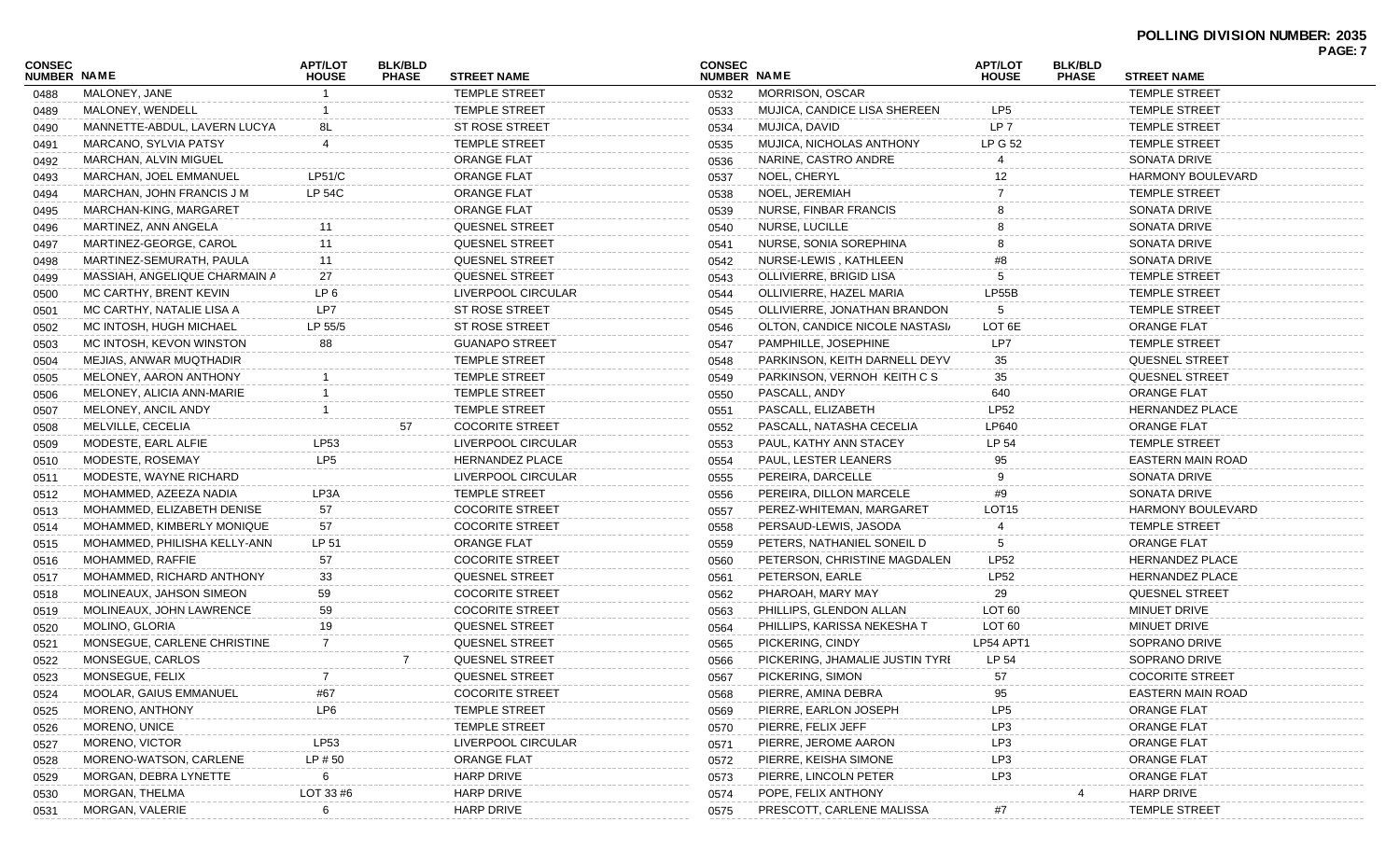## **POLLING DIVISION NUMBER: 2035**

| CONSEC<br><b>NUMBER NAME</b> |                               | <b>APT/LOT</b><br><b>HOUSE</b> | <b>BLK/BLD</b><br><b>PHASE</b> | <b>STREET NAME</b>     | <b>CONSEC</b><br>NUMBER NAME |                                 | APT/LOT<br><b>HOUSE</b> | <b>BLK/BLD</b><br><b>PHASE</b> | <b>STREET NAME</b>       | PAGE: 7 |
|------------------------------|-------------------------------|--------------------------------|--------------------------------|------------------------|------------------------------|---------------------------------|-------------------------|--------------------------------|--------------------------|---------|
| 0488                         | MALONEY, JANE                 |                                |                                | TEMPLE STREET          | 0532                         | <b>MORRISON, OSCAR</b>          |                         |                                | <b>TEMPLE STREET</b>     |         |
| 0489                         | MALONEY, WENDELL              |                                |                                | <b>TEMPLE STREET</b>   | 0533                         | MUJICA, CANDICE LISA SHEREEN    | LP5                     |                                | <b>TEMPLE STREET</b>     |         |
| 0490                         | MANNETTE-ABDUL, LAVERN LUCYA  |                                |                                | ST ROSE STREET         | 0534                         | MUJICA, DAVID                   | LP <sub>7</sub>         |                                | <b>TEMPLE STREET</b>     |         |
| 0491                         | MARCANO, SYLVIA PATSY         |                                |                                | TEMPLE STREET          | 0535                         | MUJICA, NICHOLAS ANTHONY        | <b>LP G 52</b>          |                                | TEMPLE STREET            |         |
| 0492                         | MARCHAN, ALVIN MIGUEL         |                                |                                | ORANGE FLAT            | 0536                         | NARINE, CASTRO ANDRE            |                         |                                | SONATA DRIVE             |         |
| 0493                         | MARCHAN, JOEL EMMANUEL        | LP51/C                         |                                | ORANGE FLAT            | 0537                         | NOEL, CHERYL                    | 12                      |                                | <b>HARMONY BOULEVARD</b> |         |
| 0494                         | MARCHAN, JOHN FRANCIS J M     | LP 54C                         |                                | ORANGE FLAT            | 0538                         | NOEL, JEREMIAH                  |                         |                                | <b>TEMPLE STREET</b>     |         |
| 0495                         | MARCHAN-KING, MARGARET        |                                |                                | ORANGE FLAT            | 0539                         | NURSE, FINBAR FRANCIS           |                         |                                | SONATA DRIVE             |         |
| 0496                         | MARTINEZ, ANN ANGELA          |                                |                                | QUESNEL STREET         | 0540                         | NURSE, LUCILLE                  |                         |                                | SONATA DRIVE             |         |
| 0497                         | MARTINEZ-GEORGE, CAROL        | 11                             |                                | <b>QUESNEL STREET</b>  | 0541                         | NURSE, SONIA SOREPHINA          |                         |                                | SONATA DRIVE             |         |
| 0498                         | MARTINEZ-SEMURATH, PAULA      | 11                             |                                | <b>QUESNEL STREET</b>  | 0542                         | NURSE-LEWIS, KATHLEEN           | #8                      |                                | SONATA DRIVE             |         |
| 0499                         | MASSIAH, ANGELIQUE CHARMAIN A | 27                             |                                | QUESNEL STREET         | 0543                         | OLLIVIERRE, BRIGID LISA         |                         |                                | <b>TEMPLE STREET</b>     |         |
| 0500                         | MC CARTHY, BRENT KEVIN        | LP <sub>6</sub>                |                                | LIVERPOOL CIRCULAR     | 0544                         | OLLIVIERRE, HAZEL MARIA         | LP55B                   |                                | TEMPLE STREET            |         |
| 0501                         | MC CARTHY, NATALIE LISA A     | LP7                            |                                | ST ROSE STREET         | 0545                         | OLLIVIERRE, JONATHAN BRANDON    | 5                       |                                | <b>TEMPLE STREET</b>     |         |
| 0502                         | MC INTOSH, HUGH MICHAEL       | LP 55/5                        |                                | ST ROSE STREET         | 0546                         | OLTON, CANDICE NICOLE NASTASI/  | LOT <sub>6E</sub>       |                                | ORANGE FLAT              |         |
| 0503                         | MC INTOSH, KEVON WINSTON      | 88                             |                                | <b>GUANAPO STREET</b>  | 0547                         | PAMPHILLE, JOSEPHINE            | LP7                     |                                | <b>TEMPLE STREET</b>     |         |
| 0504                         | MEJIAS, ANWAR MUQTHADIR       |                                |                                | TEMPLE STREET          | 0548                         | PARKINSON, KEITH DARNELL DEYV   | 35                      |                                | QUESNEL STREET           |         |
| 0505                         | MELONEY, AARON ANTHONY        |                                |                                | <b>TEMPLE STREET</b>   | 0549                         | PARKINSON, VERNOH KEITH C S     | 35                      |                                | QUESNEL STREET           |         |
| 0506                         | MELONEY, ALICIA ANN-MARIE     |                                |                                | <b>TEMPLE STREET</b>   | 0550                         | PASCALL, ANDY                   | 640                     |                                | <b>ORANGE FLAT</b>       |         |
| 0507                         | MELONEY, ANCIL ANDY           |                                |                                | <b>TEMPLE STREET</b>   | 0551                         | PASCALL, ELIZABETH              | <b>LP52</b>             |                                | <b>HERNANDEZ PLACE</b>   |         |
| 0508                         | MELVILLE, CECELIA             |                                | 57                             | <b>COCORITE STREET</b> | 0552                         | PASCALL, NATASHA CECELIA        | LP640                   |                                | <b>ORANGE FLAT</b>       |         |
| 0509                         | MODESTE, EARL ALFIE           | LP53                           |                                | LIVERPOOL CIRCULAR     | 0553                         | PAUL, KATHY ANN STACEY          | LP 54                   |                                | TEMPLE STREET            |         |
| 0510                         | MODESTE, ROSEMAY              | LP <sub>5</sub>                |                                | HERNANDEZ PLACE        | 0554                         | PAUL, LESTER LEANERS            | 95                      |                                | EASTERN MAIN ROAD        |         |
| 0511                         | MODESTE, WAYNE RICHARD        |                                |                                | LIVERPOOL CIRCULAR     | 0555                         | PEREIRA, DARCELLE               | 9                       |                                | SONATA DRIVE             |         |
| 0512                         | MOHAMMED, AZEEZA NADIA        | LP3A                           |                                | <b>TEMPLE STREET</b>   | 0556                         | PEREIRA, DILLON MARCELE         | #9                      |                                | SONATA DRIVE             |         |
| 0513                         | MOHAMMED, ELIZABETH DENISE    | 57                             |                                | <b>COCORITE STREET</b> | 0557                         | PEREZ-WHITEMAN, MARGARET        | LOT <sub>15</sub>       |                                | HARMONY BOULEVARD        |         |
| 0514                         | MOHAMMED, KIMBERLY MONIQUE    | 57                             |                                | <b>COCORITE STREET</b> | 0558                         | PERSAUD-LEWIS, JASODA           |                         |                                | <b>TEMPLE STREET</b>     |         |
| 0515                         | MOHAMMED, PHILISHA KELLY-ANN  | LP 51                          |                                | <b>ORANGE FLAT</b>     | 0559                         | PETERS, NATHANIEL SONEIL D      | 5                       |                                | ORANGE FLAT              |         |
| 0516                         | MOHAMMED, RAFFIE              | 57                             |                                | <b>COCORITE STREET</b> | 0560                         | PETERSON, CHRISTINE MAGDALEN    | <b>LP52</b>             |                                | HERNANDEZ PLACE          |         |
| 0517                         | MOHAMMED, RICHARD ANTHONY     | 33                             |                                | QUESNEL STREET         | 0561                         | PETERSON, EARLE                 | <b>LP52</b>             |                                | HERNANDEZ PLACE          |         |
| 0518                         | MOLINEAUX, JAHSON SIMEON      | 59                             |                                | <b>COCORITE STREET</b> | 0562                         | PHAROAH, MARY MAY               | 29                      |                                | QUESNEL STREET           |         |
| 0519                         | MOLINEAUX, JOHN LAWRENCE      | 59                             |                                | <b>COCORITE STREET</b> | 0563                         | PHILLIPS, GLENDON ALLAN         | LOT <sub>60</sub>       |                                | MINUET DRIVE             |         |
| 0520                         | MOLINO, GLORIA                | 19                             |                                | QUESNEL STREET         | 0564                         | PHILLIPS, KARISSA NEKESHA T     | LOT <sub>60</sub>       |                                | MINUET DRIVE             |         |
| 0521                         | MONSEGUE, CARLENE CHRISTINE   | 7                              |                                | <b>QUESNEL STREET</b>  | 0565                         | PICKERING, CINDY                | LP54 APT1               |                                | SOPRANO DRIVE            |         |
| 0522                         | MONSEGUE, CARLOS              |                                |                                | QUESNEL STREET         | 0566                         | PICKERING, JHAMALIE JUSTIN TYRI | LP 54                   |                                | SOPRANO DRIVE            |         |
| 0523                         | MONSEGUE, FELIX               | $\overline{7}$                 |                                | QUESNEL STREET         | 0567                         | PICKERING, SIMON                | 57                      |                                | <b>COCORITE STREET</b>   |         |
| 0524                         | MOOLAR, GAIUS EMMANUEL        | #67                            |                                | <b>COCORITE STREET</b> | 0568                         | PIERRE, AMINA DEBRA             | 95                      |                                | EASTERN MAIN ROAD        |         |
| 0525                         | MORENO, ANTHONY               | LP6                            |                                | TEMPLE STREET          | 0569                         | PIERRE, EARLON JOSEPH           | LP <sub>5</sub>         |                                | <b>ORANGE FLAT</b>       |         |
| 0526                         | MORENO, UNICE                 |                                |                                | TEMPLE STREET          | 0570                         | PIERRE, FELIX JEFF              | LP3                     |                                | <b>ORANGE FLAT</b>       |         |
| 0527                         | MORENO, VICTOR                | LP53                           |                                | LIVERPOOL CIRCULAR     | 0571                         | PIERRE, JEROME AARON            | LP3                     |                                | <b>ORANGE FLAT</b>       |         |
| 0528                         | MORENO-WATSON, CARLENE        | LP # 50                        |                                | <b>ORANGE FLAT</b>     | 0572                         | PIERRE, KEISHA SIMONE           | LP3                     |                                | <b>ORANGE FLAT</b>       |         |
| 0529                         | MORGAN, DEBRA LYNETTE         | 6                              |                                | <b>HARP DRIVE</b>      | 0573                         | PIERRE, LINCOLN PETER           | LP3                     |                                | <b>ORANGE FLAT</b>       |         |
| 0530                         | MORGAN, THELMA                | LOT 33 #6                      |                                | <b>HARP DRIVE</b>      | 0574                         | POPE, FELIX ANTHONY             |                         |                                | <b>HARP DRIVE</b>        |         |
| 0531                         | MORGAN, VALERIE               | 6                              |                                | <b>HARP DRIVE</b>      | 0575                         | PRESCOTT, CARLENE MALISSA       | #7                      |                                | TEMPLE STREET            |         |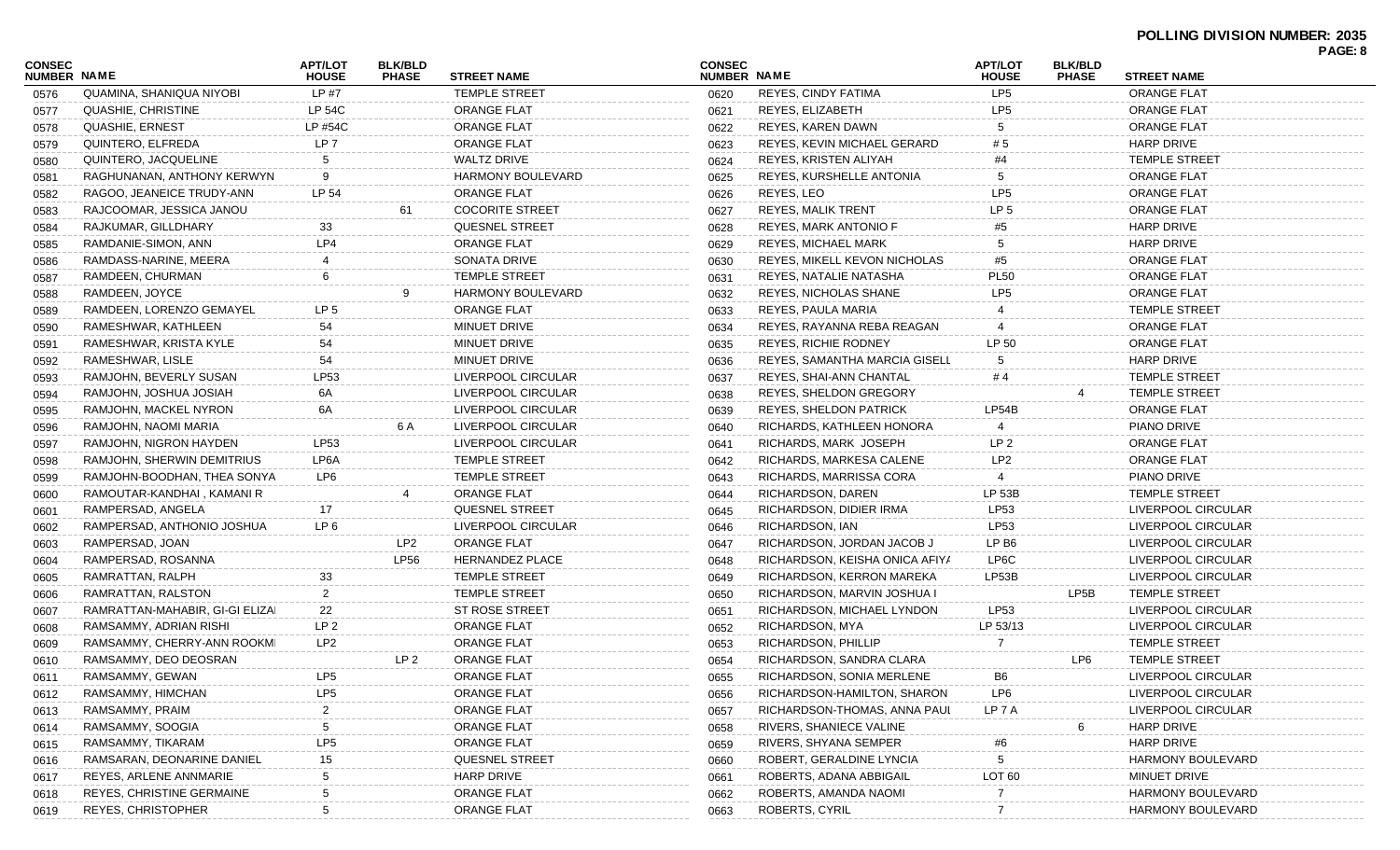|                              |                                 |                                |                                |                          |                                     |                                |                                |                                |                          | PAGE: 8 |
|------------------------------|---------------------------------|--------------------------------|--------------------------------|--------------------------|-------------------------------------|--------------------------------|--------------------------------|--------------------------------|--------------------------|---------|
| CONSEC<br><b>NUMBER NAME</b> |                                 | <b>APT/LOT</b><br><b>HOUSE</b> | <b>BLK/BLD</b><br><b>PHASE</b> | <b>STREET NAME</b>       | <b>CONSEC</b><br><b>NUMBER NAME</b> |                                | <b>APT/LOT</b><br><b>HOUSE</b> | <b>BLK/BLD</b><br><b>PHASE</b> | <b>STREET NAME</b>       |         |
| 0576                         | QUAMINA, SHANIQUA NIYOBI        | LP #7                          |                                | <b>TEMPLE STREET</b>     | 0620                                | REYES, CINDY FATIMA            | LP <sub>5</sub>                |                                | <b>ORANGE FLAT</b>       |         |
| 0577                         | QUASHIE, CHRISTINE              | <b>LP 54C</b>                  |                                | <b>ORANGE FLAT</b>       | 0621                                | REYES, ELIZABETH               | LP <sub>5</sub>                |                                | <b>ORANGE FLAT</b>       |         |
| 0578                         | QUASHIE, ERNEST                 | LP #54C                        |                                | <b>ORANGE FLAT</b>       | 0622                                | REYES, KAREN DAWN              | 5                              |                                | <b>ORANGE FLAT</b>       |         |
| 0579                         | QUINTERO, ELFREDA               | LP 7                           |                                | <b>ORANGE FLAT</b>       | 0623                                | REYES, KEVIN MICHAEL GERARD    | #5                             |                                | <b>HARP DRIVE</b>        |         |
| 0580                         | QUINTERO, JACQUELINE            | 5                              |                                | <b>WALTZ DRIVE</b>       | 0624                                | REYES, KRISTEN ALIYAH          | #4                             |                                | <b>TEMPLE STREET</b>     |         |
| 0581                         | RAGHUNANAN, ANTHONY KERWYN      | 9                              |                                | <b>HARMONY BOULEVARD</b> | 0625                                | REYES, KURSHELLE ANTONIA       | 5                              |                                | <b>ORANGE FLAT</b>       |         |
| 0582                         | RAGOO, JEANEICE TRUDY-ANN       | LP 54                          |                                | <b>ORANGE FLAT</b>       | 0626                                | REYES, LEO                     | LP <sub>5</sub>                |                                | <b>ORANGE FLAT</b>       |         |
| 0583                         | RAJCOOMAR, JESSICA JANOU        |                                | 61                             | <b>COCORITE STREET</b>   | 0627                                | <b>REYES, MALIK TRENT</b>      | LP <sub>5</sub>                |                                | <b>ORANGE FLAT</b>       |         |
| 0584                         | RAJKUMAR, GILLDHARY             | 33                             |                                | <b>QUESNEL STREET</b>    | 0628                                | <b>REYES, MARK ANTONIO F</b>   | #5                             |                                | <b>HARP DRIVE</b>        |         |
| 0585                         | RAMDANIE-SIMON, ANN             | LP4                            |                                | <b>ORANGE FLAT</b>       | 0629                                | <b>REYES, MICHAEL MARK</b>     |                                |                                | <b>HARP DRIVE</b>        |         |
| 0586                         | RAMDASS-NARINE, MEERA           |                                |                                | SONATA DRIVE             | 0630                                | REYES, MIKELL KEVON NICHOLAS   | #5                             |                                | <b>ORANGE FLAT</b>       |         |
| 0587                         | RAMDEEN, CHURMAN                |                                |                                | <b>TEMPLE STREET</b>     | 0631                                | REYES, NATALIE NATASHA         | <b>PL50</b>                    |                                | <b>ORANGE FLAT</b>       |         |
| 0588                         | RAMDEEN, JOYCE                  |                                |                                | <b>HARMONY BOULEVARD</b> | 0632                                | REYES, NICHOLAS SHANE          | LP <sub>5</sub>                |                                | <b>ORANGE FLAT</b>       |         |
| 0589                         | RAMDEEN, LORENZO GEMAYEL        | LP 5                           |                                | <b>ORANGE FLAT</b>       | 0633                                | REYES, PAULA MARIA             |                                |                                | <b>TEMPLE STREET</b>     |         |
| 0590                         | RAMESHWAR, KATHLEEN             | 54                             |                                | <b>MINUET DRIVE</b>      | 0634                                | REYES, RAYANNA REBA REAGAN     |                                |                                | <b>ORANGE FLAT</b>       |         |
| 0591                         | RAMESHWAR, KRISTA KYLE          | 54                             |                                | MINUET DRIVE             | 0635                                | <b>REYES, RICHIE RODNEY</b>    | LP 50                          |                                | <b>ORANGE FLAT</b>       |         |
| 0592                         | RAMESHWAR, LISLE                | 54                             |                                | MINUET DRIVE             | 0636                                | REYES, SAMANTHA MARCIA GISELL  | 5                              |                                | <b>HARP DRIVE</b>        |         |
| 0593                         | RAMJOHN, BEVERLY SUSAN          | LP53                           |                                | LIVERPOOL CIRCULAR       | 0637                                | REYES, SHAI-ANN CHANTAL        | #4                             |                                | <b>TEMPLE STREET</b>     |         |
| 0594                         | RAMJOHN, JOSHUA JOSIAH          | 6A                             |                                | LIVERPOOL CIRCULAR       | 0638                                | <b>REYES, SHELDON GREGORY</b>  |                                |                                | <b>TEMPLE STREET</b>     |         |
| 0595                         | RAMJOHN, MACKEL NYRON           | 6A                             |                                | LIVERPOOL CIRCULAR       | 0639                                | REYES, SHELDON PATRICK         | LP54B                          |                                | <b>ORANGE FLAT</b>       |         |
| 0596                         | RAMJOHN, NAOMI MARIA            |                                | 6 A                            | LIVERPOOL CIRCULAR       | 0640                                | RICHARDS, KATHLEEN HONORA      |                                |                                | PIANO DRIVE              |         |
| 0597                         | RAMJOHN, NIGRON HAYDEN          | LP53                           |                                | LIVERPOOL CIRCULAR       | 0641                                | RICHARDS, MARK JOSEPH          | LP <sub>2</sub>                |                                | <b>ORANGE FLAT</b>       |         |
| 0598                         | RAMJOHN, SHERWIN DEMITRIUS      | LP6A                           |                                | <b>TEMPLE STREET</b>     | 0642                                | RICHARDS, MARKESA CALENE       | LP2                            |                                | <b>ORANGE FLAT</b>       |         |
| 0599                         | RAMJOHN-BOODHAN, THEA SONYA     | LP6                            |                                | <b>TEMPLE STREET</b>     | 0643                                | RICHARDS, MARRISSA CORA        | 4                              |                                | PIANO DRIVE              |         |
| 0600                         | RAMOUTAR-KANDHAI, KAMANI R      |                                |                                | ORANGE FLAT              | 0644                                | RICHARDSON, DAREN              | LP 53B                         |                                | <b>TEMPLE STREET</b>     |         |
| 0601                         | RAMPERSAD, ANGELA               | 17                             |                                | <b>QUESNEL STREET</b>    | 0645                                | RICHARDSON, DIDIER IRMA        | LP53                           |                                | LIVERPOOL CIRCULAR       |         |
| 0602                         | RAMPERSAD, ANTHONIO JOSHUA      | LP <sub>6</sub>                |                                | LIVERPOOL CIRCULAR       | 0646                                | RICHARDSON, IAN                | LP53                           |                                | LIVERPOOL CIRCULAR       |         |
| 0603                         | RAMPERSAD, JOAN                 |                                | LP2                            | <b>ORANGE FLAT</b>       | 0647                                | RICHARDSON, JORDAN JACOB J     | LP B <sub>6</sub>              |                                | LIVERPOOL CIRCULAR       |         |
| 0604                         | RAMPERSAD, ROSANNA              |                                | <b>LP56</b>                    | <b>HERNANDEZ PLACE</b>   | 0648                                | RICHARDSON, KEISHA ONICA AFIYA | LP6C                           |                                | LIVERPOOL CIRCULAR       |         |
| 0605                         | RAMRATTAN, RALPH                | 33                             |                                | <b>TEMPLE STREET</b>     | 0649                                | RICHARDSON, KERRON MAREKA      | LP53B                          |                                | LIVERPOOL CIRCULAR       |         |
| 0606                         | RAMRATTAN, RALSTON              | 2                              |                                | <b>TEMPLE STREET</b>     | 0650                                | RICHARDSON, MARVIN JOSHUA I    |                                | LP5B                           | <b>TEMPLE STREET</b>     |         |
| 0607                         | RAMRATTAN-MAHABIR, GI-GI ELIZAI | 22                             |                                | <b>ST ROSE STREET</b>    | 0651                                | RICHARDSON, MICHAEL LYNDON     | LP53                           |                                | LIVERPOOL CIRCULAR       |         |
| 0608                         | RAMSAMMY, ADRIAN RISHI          | LP <sub>2</sub>                |                                | <b>ORANGE FLAT</b>       | 0652                                | RICHARDSON, MYA                | LP 53/13                       |                                | LIVERPOOL CIRCULAR       |         |
| 0609                         | RAMSAMMY, CHERRY-ANN ROOKMI     | LP2                            |                                | <b>ORANGE FLAT</b>       | 0653                                | RICHARDSON, PHILLIP            |                                |                                | <b>TEMPLE STREET</b>     |         |
| 0610                         | RAMSAMMY, DEO DEOSRAN           |                                | LP 2                           | ORANGE FLAT              | 0654                                | RICHARDSON, SANDRA CLARA       |                                | LP6                            | <b>TEMPLE STREET</b>     |         |
| 0611                         | RAMSAMMY, GEWAN                 | LP5                            |                                | ORANGE FLAT              | 0655                                | RICHARDSON, SONIA MERLENE      | B <sub>6</sub>                 |                                | LIVERPOOL CIRCULAR       |         |
| 0612                         | RAMSAMMY, HIMCHAN               | LP <sub>5</sub>                |                                | <b>ORANGE FLAT</b>       | 0656                                | RICHARDSON-HAMILTON, SHARON    | LP6                            |                                | LIVERPOOL CIRCULAR       |         |
| 0613                         | RAMSAMMY, PRAIM                 | 2                              |                                | <b>ORANGE FLAT</b>       | 0657                                | RICHARDSON-THOMAS, ANNA PAUL   | LP 7 A                         |                                | LIVERPOOL CIRCULAR       |         |
| 0614                         | RAMSAMMY, SOOGIA                | 5                              |                                | <b>ORANGE FLAT</b>       | 0658                                | RIVERS, SHANIECE VALINE        |                                | 6                              | HARP DRIVE               |         |
|                              | RAMSAMMY, TIKARAM               | LP <sub>5</sub>                |                                | ORANGE FLAT              |                                     | RIVERS, SHYANA SEMPER          |                                |                                | HARP DRIVE               |         |
| 0615                         | RAMSARAN, DEONARINE DANIEL      | 15                             |                                | QUESNEL STREET           | 0659<br>0660                        | ROBERT, GERALDINE LYNCIA       | #6<br>5                        |                                | <b>HARMONY BOULEVARD</b> |         |
| 0616                         | REYES, ARLENE ANNMARIE          |                                |                                | <b>HARP DRIVE</b>        |                                     | ROBERTS, ADANA ABBIGAIL        | LOT <sub>60</sub>              |                                | MINUET DRIVE             |         |
| 0617                         | REYES, CHRISTINE GERMAINE       |                                |                                | <b>ORANGE FLAT</b>       | 0661                                | ROBERTS, AMANDA NAOMI          |                                |                                | <b>HARMONY BOULEVARD</b> |         |
| 0618                         | <b>REYES, CHRISTOPHER</b>       | 5                              |                                | ORANGE FLAT              | 0662                                | ROBERTS, CYRIL                 |                                |                                | HARMONY BOULEVARD        |         |
| 0619                         |                                 |                                |                                |                          | 0663                                |                                |                                |                                |                          |         |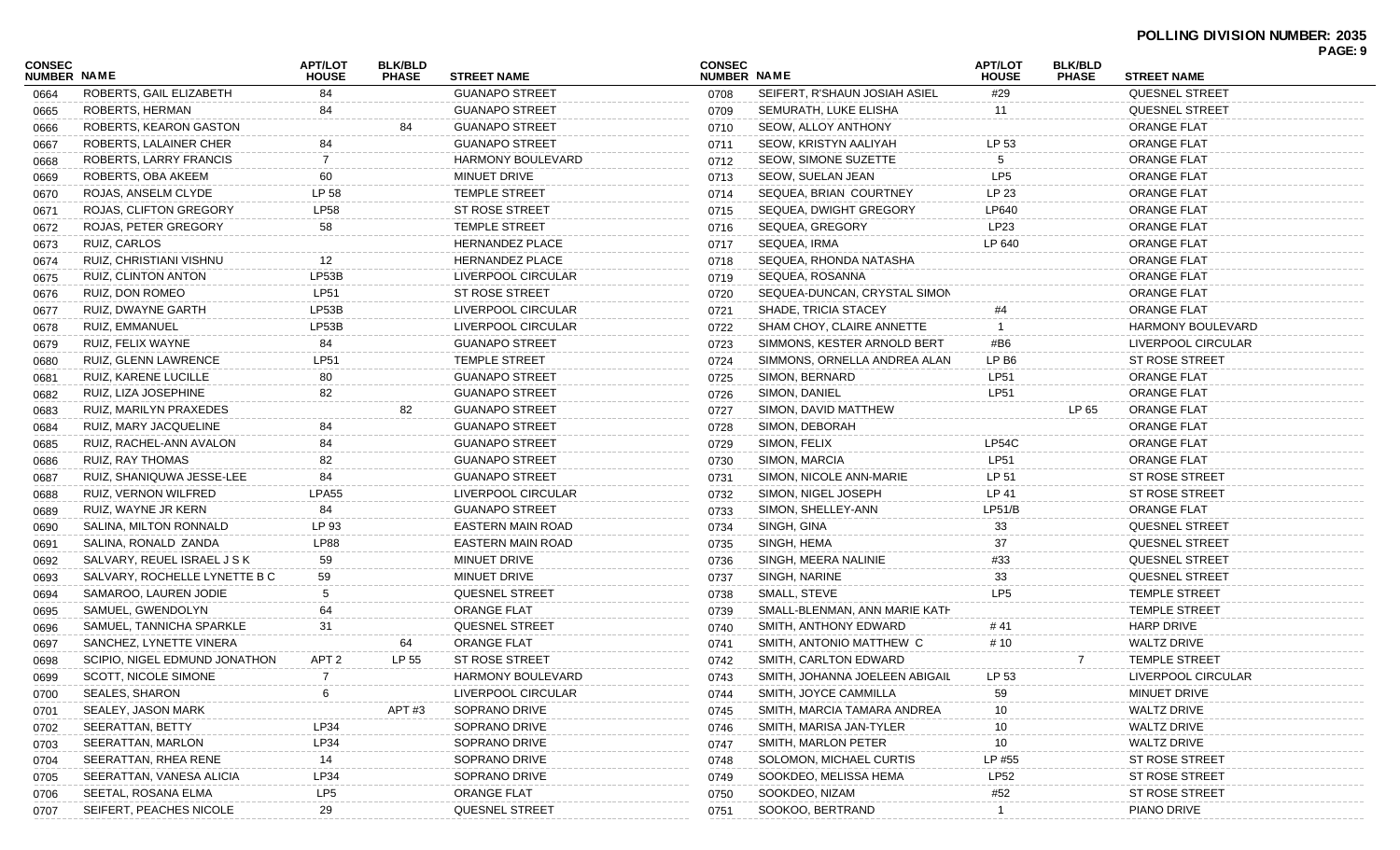#### **POLLING DIVISION NUMBER: 2035 PAGE: 9**

| CONSEC             |                               | <b>APT/LOT</b> | <b>BLK/BLD</b> |                          | <b>CONSEC</b> |                                | <b>APT/LOT</b>  | <b>BLK/BLD</b> |                          | ГАОС. Э |
|--------------------|-------------------------------|----------------|----------------|--------------------------|---------------|--------------------------------|-----------------|----------------|--------------------------|---------|
| <b>NUMBER NAME</b> |                               | <b>HOUSE</b>   | <b>PHASE</b>   | <b>STREET NAME</b>       | NUMBER NAME   |                                | <b>HOUSE</b>    | <b>PHASE</b>   | <b>STREET NAME</b>       |         |
| 0664               | ROBERTS, GAIL ELIZABETH       | 84             |                | <b>GUANAPO STREET</b>    | 0708          | SEIFERT, R'SHAUN JOSIAH ASIEL  | #29             |                | <b>QUESNEL STREET</b>    |         |
| 0665               | ROBERTS, HERMAN               | 84             |                | <b>GUANAPO STREET</b>    | 0709          | SEMURATH, LUKE ELISHA          |                 |                | <b>QUESNEL STREET</b>    |         |
| 0666               | ROBERTS, KEARON GASTON        |                | 84             | <b>GUANAPO STREET</b>    | 0710          | SEOW, ALLOY ANTHONY            |                 |                | <b>ORANGE FLAT</b>       |         |
| 0667               | ROBERTS, LALAINER CHER        | 84             |                | <b>GUANAPO STREET</b>    | 0711          | SEOW, KRISTYN AALIYAH          | LP 53           |                | <b>ORANGE FLAT</b>       |         |
| 0668               | ROBERTS, LARRY FRANCIS        | 7              |                | <b>HARMONY BOULEVARD</b> | 0712          | SEOW, SIMONE SUZETTE           |                 |                | <b>ORANGE FLAT</b>       |         |
| 0669               | ROBERTS, OBA AKEEM            | 60             |                | MINUET DRIVE             | 0713          | SEOW, SUELAN JEAN              | LP5             |                | <b>ORANGE FLAT</b>       |         |
| 0670               | ROJAS, ANSELM CLYDE           | LP 58          |                | <b>TEMPLE STREET</b>     | 0714          | SEQUEA, BRIAN COURTNEY         | LP 23           |                | <b>ORANGE FLAT</b>       |         |
| 0671               | ROJAS, CLIFTON GREGORY        | <b>LP58</b>    |                | <b>ST ROSE STREET</b>    | 0715          | SEQUEA, DWIGHT GREGORY         | LP640           |                | <b>ORANGE FLAT</b>       |         |
| 0672               | ROJAS, PETER GREGORY          | 58             |                | <b>TEMPLE STREET</b>     | 0716          | SEQUEA, GREGORY                | LP23            |                | <b>ORANGE FLAT</b>       |         |
| 0673               | RUIZ, CARLOS                  |                |                | <b>HERNANDEZ PLACE</b>   | 0717          | SEQUEA, IRMA                   | LP 640          |                | <b>ORANGE FLAT</b>       |         |
| 0674               | RUIZ, CHRISTIANI VISHNU       | 12             |                | <b>HERNANDEZ PLACE</b>   | 0718          | SEQUEA, RHONDA NATASHA         |                 |                | <b>ORANGE FLAT</b>       |         |
| 0675               | RUIZ, CLINTON ANTON           | LP53B          |                | LIVERPOOL CIRCULAR       | 0719          | SEQUEA, ROSANNA                |                 |                | <b>ORANGE FLAT</b>       |         |
| 0676               | RUIZ, DON ROMEO               | LP51           |                | <b>ST ROSE STREET</b>    | 0720          | SEQUEA-DUNCAN, CRYSTAL SIMON   |                 |                | <b>ORANGE FLAT</b>       |         |
| 0677               | RUIZ, DWAYNE GARTH            | LP53B          |                | LIVERPOOL CIRCULAR       | 0721          | SHADE, TRICIA STACEY           |                 |                | <b>ORANGE FLAT</b>       |         |
| 0678               | RUIZ, EMMANUEL                | LP53B          |                | LIVERPOOL CIRCULAR       | 0722          | SHAM CHOY, CLAIRE ANNETTE      |                 |                | <b>HARMONY BOULEVARD</b> |         |
| 0679               | RUIZ, FELIX WAYNE             | 84             |                | <b>GUANAPO STREET</b>    | 0723          | SIMMONS, KESTER ARNOLD BERT    | #B6             |                | LIVERPOOL CIRCULAR       |         |
| 0680               | RUIZ, GLENN LAWRENCE          | LP51           |                | <b>TEMPLE STREET</b>     | 0724          | SIMMONS, ORNELLA ANDREA ALAN   | LP B6           |                | ST ROSE STREET           |         |
| 0681               | RUIZ, KARENE LUCILLE          | 80             |                | <b>GUANAPO STREET</b>    | 0725          | SIMON, BERNARD                 | LP51            |                | <b>ORANGE FLAT</b>       |         |
| 0682               | RUIZ, LIZA JOSEPHINE          | 82             |                | <b>GUANAPO STREET</b>    | 0726          | SIMON, DANIEL                  | LP51            |                | <b>ORANGE FLAT</b>       |         |
| 0683               | RUIZ, MARILYN PRAXEDES        |                | 82             | <b>GUANAPO STREET</b>    | 0727          | SIMON, DAVID MATTHEW           |                 | LP 65          | <b>ORANGE FLAT</b>       |         |
| 0684               | RUIZ, MARY JACQUELINE         | 84             |                | <b>GUANAPO STREET</b>    | 0728          | SIMON, DEBORAH                 |                 |                | <b>ORANGE FLAT</b>       |         |
| 0685               | RUIZ, RACHEL-ANN AVALON       | 84             |                | <b>GUANAPO STREET</b>    | 0729          | SIMON, FELIX                   | LP54C           |                | <b>ORANGE FLAT</b>       |         |
| 0686               | RUIZ, RAY THOMAS              | 82             |                | <b>GUANAPO STREET</b>    | 0730          | SIMON, MARCIA                  | <b>LP51</b>     |                | <b>ORANGE FLAT</b>       |         |
| 0687               | RUIZ, SHANIQUWA JESSE-LEE     | 84             |                | <b>GUANAPO STREET</b>    | 0731          | SIMON, NICOLE ANN-MARIE        | LP 51           |                | ST ROSE STREET           |         |
| 0688               | RUIZ, VERNON WILFRED          | LPA55          |                | LIVERPOOL CIRCULAR       | 0732          | SIMON, NIGEL JOSEPH            | LP 41           |                | ST ROSE STREET           |         |
| 0689               | RUIZ, WAYNE JR KERN           | 84             |                | <b>GUANAPO STREET</b>    | 0733          | SIMON, SHELLEY-ANN             | LP51/B          |                | <b>ORANGE FLAT</b>       |         |
| 0690               | SALINA, MILTON RONNALD        | LP 93          |                | EASTERN MAIN ROAD        | 0734          | SINGH, GINA                    | 33              |                | <b>QUESNEL STREET</b>    |         |
| 0691               | SALINA, RONALD ZANDA          | LP88           |                | EASTERN MAIN ROAD        | 0735          | SINGH, HEMA                    | 37              |                | <b>QUESNEL STREET</b>    |         |
| 0692               | SALVARY, REUEL ISRAEL J S K   | 59             |                | MINUET DRIVE             | 0736          | SINGH, MEERA NALINIE           | #33             |                | <b>QUESNEL STREET</b>    |         |
| 0693               | SALVARY, ROCHELLE LYNETTE B C | 59             |                | MINUET DRIVE             | 0737          | SINGH, NARINE                  | 33              |                | QUESNEL STREET           |         |
| 0694               | SAMAROO, LAUREN JODIE         | 5              |                | <b>QUESNEL STREET</b>    | 0738          | SMALL, STEVE                   | LP <sub>5</sub> |                | <b>TEMPLE STREET</b>     |         |
| 0695               | SAMUEL, GWENDOLYN             | 64             |                | <b>ORANGE FLAT</b>       | 0739          | SMALL-BLENMAN, ANN MARIE KATH  |                 |                | <b>TEMPLE STREET</b>     |         |
| 0696               | SAMUEL, TANNICHA SPARKLE      | 31             |                | <b>QUESNEL STREET</b>    | 0740          | SMITH, ANTHONY EDWARD          | # 41            |                | <b>HARP DRIVE</b>        |         |
| 0697               | SANCHEZ, LYNETTE VINERA       |                | 64             | ORANGE FLAT              | 0741          | SMITH, ANTONIO MATTHEW C       | # 10            |                | <b>WALTZ DRIVE</b>       |         |
| 0698               | SCIPIO, NIGEL EDMUND JONATHON | APT 2          | LP 55          | ST ROSE STREET           | 0742          | SMITH, CARLTON EDWARD          |                 |                | <b>TEMPLE STREET</b>     |         |
| 0699               | SCOTT, NICOLE SIMONE          |                |                | HARMONY BOULEVARD        | 0743          | SMITH, JOHANNA JOELEEN ABIGAIL | LP 53           |                | LIVERPOOL CIRCULAR       |         |
| 0700               | SEALES, SHARON                |                |                | LIVERPOOL CIRCULAR       | 0744          | SMITH, JOYCE CAMMILLA          |                 |                | MINUET DRIVE             |         |
| 0701               | SEALEY, JASON MARK            |                | APT #3         | SOPRANO DRIVE            | 0745          | SMITH, MARCIA TAMARA ANDREA    |                 |                | <b>WALTZ DRIVE</b>       |         |
| 0702               | SEERATTAN, BETTY              | LP34           |                | SOPRANO DRIVE            | 0746          | SMITH, MARISA JAN-TYLER        | 10              |                | <b>WALTZ DRIVE</b>       |         |
| 0703               | SEERATTAN, MARLON             | LP34           |                | SOPRANO DRIVE            | 0747          | SMITH, MARLON PETER            | 10              |                | <b>WALTZ DRIVE</b>       |         |
| 0704               | SEERATTAN, RHEA RENE          | 14             |                | SOPRANO DRIVE            | 0748          | SOLOMON, MICHAEL CURTIS        | LP #55          |                | ST ROSE STREET           |         |
| 0705               | SEERATTAN, VANESA ALICIA      | LP34           |                | SOPRANO DRIVE            | 0749          | SOOKDEO, MELISSA HEMA          | <b>LP52</b>     |                | ST ROSE STREET           |         |
| 0706               | SEETAL, ROSANA ELMA           | LP5            |                | <b>ORANGE FLAT</b>       | 0750          | SOOKDEO, NIZAM                 | #52             |                | <b>ST ROSE STREET</b>    |         |
| 0707               | SEIFERT, PEACHES NICOLE       | 29             |                | QUESNEL STREET           | 0751          | SOOKOO, BERTRAND               |                 |                | PIANO DRIVE              |         |
|                    |                               |                |                |                          |               |                                |                 |                |                          |         |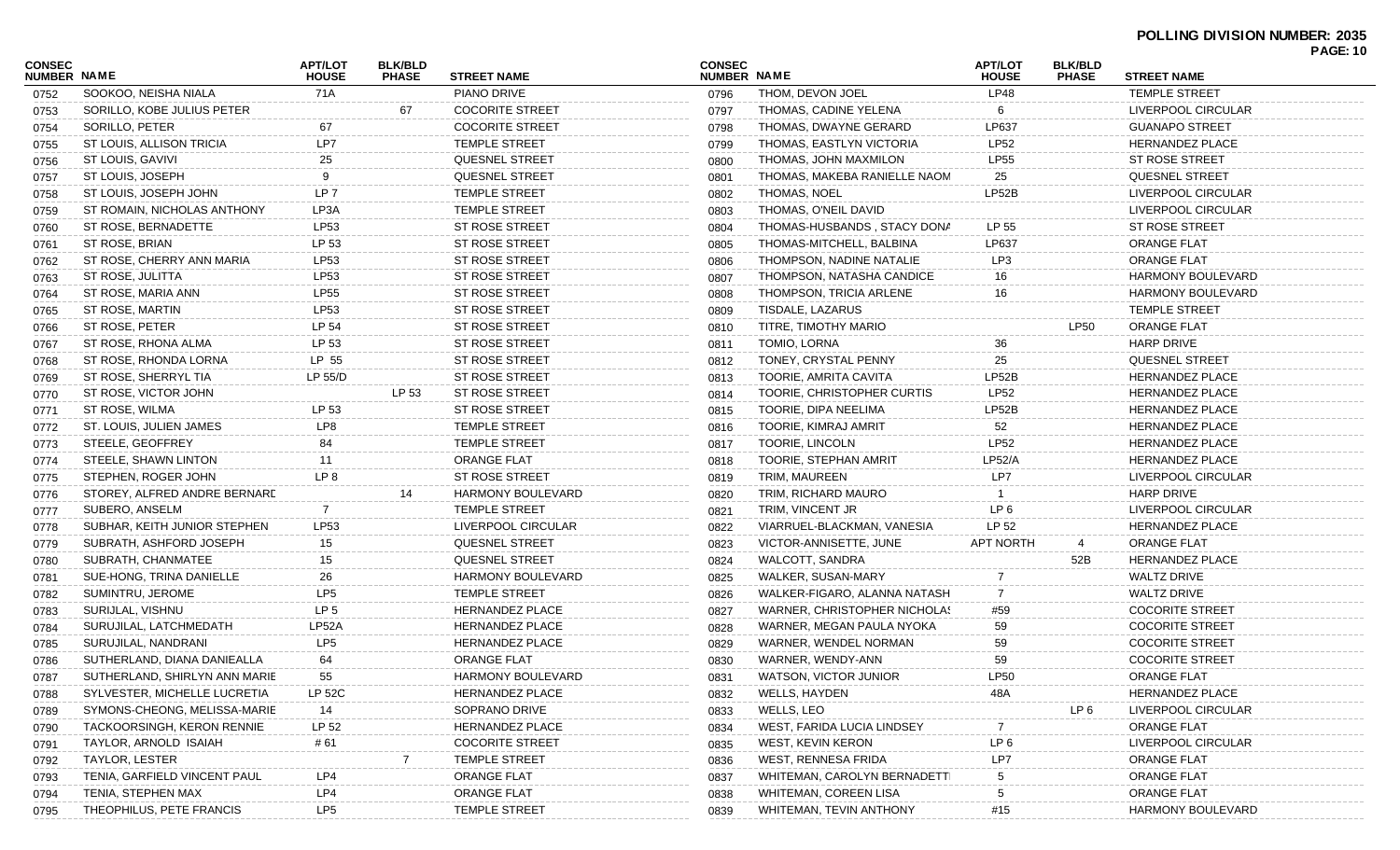#### **POLLING DIVISION NUMBER: 2035 PAGE: 10**

|                              |                               |                                |                                |                          |                              |                              |                                |                                |                          | <b>PAGE: 10</b> |
|------------------------------|-------------------------------|--------------------------------|--------------------------------|--------------------------|------------------------------|------------------------------|--------------------------------|--------------------------------|--------------------------|-----------------|
| CONSEC<br><b>NUMBER NAME</b> |                               | <b>APT/LOT</b><br><b>HOUSE</b> | <b>BLK/BLD</b><br><b>PHASE</b> | <b>STREET NAME</b>       | <b>CONSEC</b><br>NUMBER NAME |                              | <b>APT/LOT</b><br><b>HOUSE</b> | <b>BLK/BLD</b><br><b>PHASE</b> | <b>STREET NAME</b>       |                 |
| 0752                         | SOOKOO, NEISHA NIALA          | 71A                            |                                | PIANO DRIVE              | 0796                         | THOM, DEVON JOEL             | LP48                           |                                | <b>TEMPLE STREET</b>     |                 |
| 0753                         | SORILLO, KOBE JULIUS PETER    |                                | 67                             | <b>COCORITE STREET</b>   | 0797                         | THOMAS, CADINE YELENA        | 6                              |                                | LIVERPOOL CIRCULAR       |                 |
| 0754                         | SORILLO, PETER                | 67                             |                                | <b>COCORITE STREET</b>   | 0798                         | THOMAS, DWAYNE GERARD        | LP637                          |                                | <b>GUANAPO STREET</b>    |                 |
| 0755                         | ST LOUIS, ALLISON TRICIA      | LP7                            |                                | TEMPLE STREET            | 0799                         | THOMAS, EASTLYN VICTORIA     | <b>LP52</b>                    |                                | <b>HERNANDEZ PLACE</b>   |                 |
| 0756                         | ST LOUIS, GAVIVI              | 25                             |                                | QUESNEL STREET           | 0800                         | THOMAS, JOHN MAXMILON        | <b>LP55</b>                    |                                | ST ROSE STREET           |                 |
| 0757                         | ST LOUIS, JOSEPH              | 9                              |                                | QUESNEL STREET           | 0801                         | THOMAS, MAKEBA RANIELLE NAOM | 25                             |                                | <b>QUESNEL STREET</b>    |                 |
| 0758                         | ST LOUIS, JOSEPH JOHN         | LP <sub>7</sub>                |                                | <b>TEMPLE STREET</b>     | 0802                         | THOMAS, NOEL                 | LP52B                          |                                | LIVERPOOL CIRCULAR       |                 |
| 0759                         | ST ROMAIN, NICHOLAS ANTHONY   | LP3A                           |                                | TEMPLE STREET            | 0803                         | THOMAS, O'NEIL DAVID         |                                |                                | LIVERPOOL CIRCULAR       |                 |
| 0760                         | ST ROSE, BERNADETTE           | <b>LP53</b>                    |                                | ST ROSE STREET           | 0804                         | THOMAS-HUSBANDS, STACY DONA  | LP 55                          |                                | ST ROSE STREET           |                 |
| 0761                         | ST ROSE, BRIAN                | LP 53                          |                                | ST ROSE STREET           | 0805                         | THOMAS-MITCHELL, BALBINA     | LP637                          |                                | ORANGE FLAT              |                 |
| 0762                         | ST ROSE, CHERRY ANN MARIA     | <b>LP53</b>                    |                                | ST ROSE STREET           | 0806                         | THOMPSON, NADINE NATALIE     | LP3                            |                                | ORANGE FLAT              |                 |
| 0763                         | ST ROSE, JULITTA              | <b>LP53</b>                    |                                | ST ROSE STREET           | 0807                         | THOMPSON, NATASHA CANDICE    | 16                             |                                | HARMONY BOULEVARD        |                 |
| 0764                         | ST ROSE, MARIA ANN            | <b>LP55</b>                    |                                | ST ROSE STREET           | 0808                         | THOMPSON, TRICIA ARLENE      | 16                             |                                | HARMONY BOULEVARD        |                 |
| 0765                         | ST ROSE, MARTIN               | LP53                           |                                | ST ROSE STREET           | 0809                         | TISDALE, LAZARUS             |                                |                                | <b>TEMPLE STREET</b>     |                 |
| 0766                         | ST ROSE, PETER                | LP 54                          |                                | ST ROSE STREET           | 0810                         | TITRE, TIMOTHY MARIO         |                                | LP50                           | <b>ORANGE FLAT</b>       |                 |
| 0767                         | ST ROSE, RHONA ALMA           | LP 53                          |                                | ST ROSE STREET           | 0811                         | TOMIO, LORNA                 | 36                             |                                | <b>HARP DRIVE</b>        |                 |
| 0768                         | ST ROSE, RHONDA LORNA         | LP 55                          |                                | ST ROSE STREET           | 0812                         | TONEY, CRYSTAL PENNY         | 25                             |                                | <b>QUESNEL STREET</b>    |                 |
| 0769                         | ST ROSE, SHERRYL TIA          | LP 55/D                        |                                | ST ROSE STREET           | 0813                         | TOORIE, AMRITA CAVITA        | LP52B                          |                                | <b>HERNANDEZ PLACE</b>   |                 |
| 0770                         | ST ROSE, VICTOR JOHN          |                                | LP 53                          | ST ROSE STREET           | 0814                         | TOORIE, CHRISTOPHER CURTIS   | <b>LP52</b>                    |                                | <b>HERNANDEZ PLACE</b>   |                 |
| 0771                         | ST ROSE, WILMA                | LP 53                          |                                | ST ROSE STREET           | 0815                         | TOORIE, DIPA NEELIMA         | LP52B                          |                                | <b>HERNANDEZ PLACE</b>   |                 |
| 0772                         | ST. LOUIS, JULIEN JAMES       | LP8                            |                                | <b>TEMPLE STREET</b>     | 0816                         | TOORIE, KIMRAJ AMRIT         | 52                             |                                | <b>HERNANDEZ PLACE</b>   |                 |
| 0773                         | STEELE, GEOFFREY              | 84                             |                                | <b>TEMPLE STREET</b>     | 0817                         | TOORIE, LINCOLN              | <b>LP52</b>                    |                                | <b>HERNANDEZ PLACE</b>   |                 |
| 0774                         | STEELE, SHAWN LINTON          | 11                             |                                | <b>ORANGE FLAT</b>       | 0818                         | TOORIE, STEPHAN AMRIT        | <b>LP52/A</b>                  |                                | HERNANDEZ PLACE          |                 |
| 0775                         | STEPHEN, ROGER JOHN           | LP <sub>8</sub>                |                                | ST ROSE STREET           | 0819                         | TRIM, MAUREEN                | LP7                            |                                | LIVERPOOL CIRCULAR       |                 |
| 0776                         | STOREY, ALFRED ANDRE BERNARD  |                                |                                | <b>HARMONY BOULEVARD</b> | 0820                         | TRIM, RICHARD MAURO          |                                |                                | <b>HARP DRIVE</b>        |                 |
| 0777                         | SUBERO, ANSELM                | 7                              |                                | <b>TEMPLE STREET</b>     | 0821                         | TRIM, VINCENT JR             | LP <sub>6</sub>                |                                | LIVERPOOL CIRCULAR       |                 |
| 0778                         | SUBHAR, KEITH JUNIOR STEPHEN  | LP53                           |                                | LIVERPOOL CIRCULAR       | 0822                         | VIARRUEL-BLACKMAN, VANESIA   | LP 52                          |                                | <b>HERNANDEZ PLACE</b>   |                 |
| 0779                         | SUBRATH, ASHFORD JOSEPH       | 15                             |                                | QUESNEL STREET           | 0823                         | VICTOR-ANNISETTE, JUNE       | <b>APT NORTH</b>               | 4                              | <b>ORANGE FLAT</b>       |                 |
| 0780                         | SUBRATH, CHANMATEE            | 15                             |                                | QUESNEL STREET           | 0824                         | WALCOTT, SANDRA              |                                | 52B                            | <b>HERNANDEZ PLACE</b>   |                 |
| 0781                         | SUE-HONG, TRINA DANIELLE      | 26                             |                                | HARMONY BOULEVARD        | 0825                         | WALKER, SUSAN-MARY           |                                |                                | <b>WALTZ DRIVE</b>       |                 |
| 0782                         | SUMINTRU, JEROME              | LP <sub>5</sub>                |                                | <b>TEMPLE STREET</b>     | 0826                         | WALKER-FIGARO, ALANNA NATASH | -7                             |                                | <b>WALTZ DRIVE</b>       |                 |
| 0783                         | SURIJLAL, VISHNU              | LP <sub>5</sub>                |                                | HERNANDEZ PLACE          | 0827                         | WARNER, CHRISTOPHER NICHOLAS | #59                            |                                | <b>COCORITE STREET</b>   |                 |
| 0784                         | SURUJILAL, LATCHMEDATH        | LP52A                          |                                | HERNANDEZ PLACE          | 0828                         | WARNER, MEGAN PAULA NYOKA    | 59                             |                                | <b>COCORITE STREET</b>   |                 |
| 0785                         | SURUJILAL, NANDRANI           | LP <sub>5</sub>                |                                | HERNANDEZ PLACE          | 0829                         | WARNER, WENDEL NORMAN        | 59                             |                                | <b>COCORITE STREET</b>   |                 |
| 0786                         | SUTHERLAND, DIANA DANIEALLA   | 64                             |                                | <b>ORANGE FLAT</b>       | 0830                         | WARNER, WENDY-ANN            | 59                             |                                | <b>COCORITE STREET</b>   |                 |
| 0787                         | SUTHERLAND, SHIRLYN ANN MARIE | 55                             |                                | HARMONY BOULEVARD        | 0831                         | WATSON, VICTOR JUNIOR        | <b>LP50</b>                    |                                | <b>ORANGE FLAT</b>       |                 |
| 0788                         | SYLVESTER, MICHELLE LUCRETIA  | LP 52C                         |                                | HERNANDEZ PLACE          | 0832                         | WELLS, HAYDEN                | 48A                            |                                | <b>HERNANDEZ PLACE</b>   |                 |
| 0789                         | SYMONS-CHEONG, MELISSA-MARIE  | 14                             |                                | SOPRANO DRIVE            | 0833                         | WELLS, LEO                   |                                | LP 6                           | LIVERPOOL CIRCULAR       |                 |
| 0790                         | TACKOORSINGH, KERON RENNIE    | LP 52                          |                                | HERNANDEZ PLACE          | 0834                         | WEST, FARIDA LUCIA LINDSEY   |                                |                                | <b>ORANGE FLAT</b>       |                 |
| 0791                         | TAYLOR, ARNOLD ISAIAH         | # 61                           |                                | COCORITE STREET          | 0835                         | WEST, KEVIN KERON            | LP <sub>6</sub>                |                                | LIVERPOOL CIRCULAR       |                 |
| 0792                         | TAYLOR, LESTER                |                                |                                | <b>TEMPLE STREET</b>     | 0836                         | WEST, RENNESA FRIDA          | LP7                            |                                | <b>ORANGE FLAT</b>       |                 |
| 0793                         | TENIA, GARFIELD VINCENT PAUL  | LP4                            |                                | ORANGE FLAT              | 0837                         | WHITEMAN, CAROLYN BERNADETTI | 5                              |                                | <b>ORANGE FLAT</b>       |                 |
| 0794                         | TENIA, STEPHEN MAX            | LP4                            |                                | <b>ORANGE FLAT</b>       | 0838                         | WHITEMAN, COREEN LISA        |                                |                                | <b>ORANGE FLAT</b>       |                 |
| 0795                         | THEOPHILUS, PETE FRANCIS      | LP <sub>5</sub>                |                                | <b>TEMPLE STREET</b>     | 0839                         | WHITEMAN, TEVIN ANTHONY      | #15                            |                                | <b>HARMONY BOULEVARD</b> |                 |
|                              |                               |                                |                                |                          |                              |                              |                                |                                |                          |                 |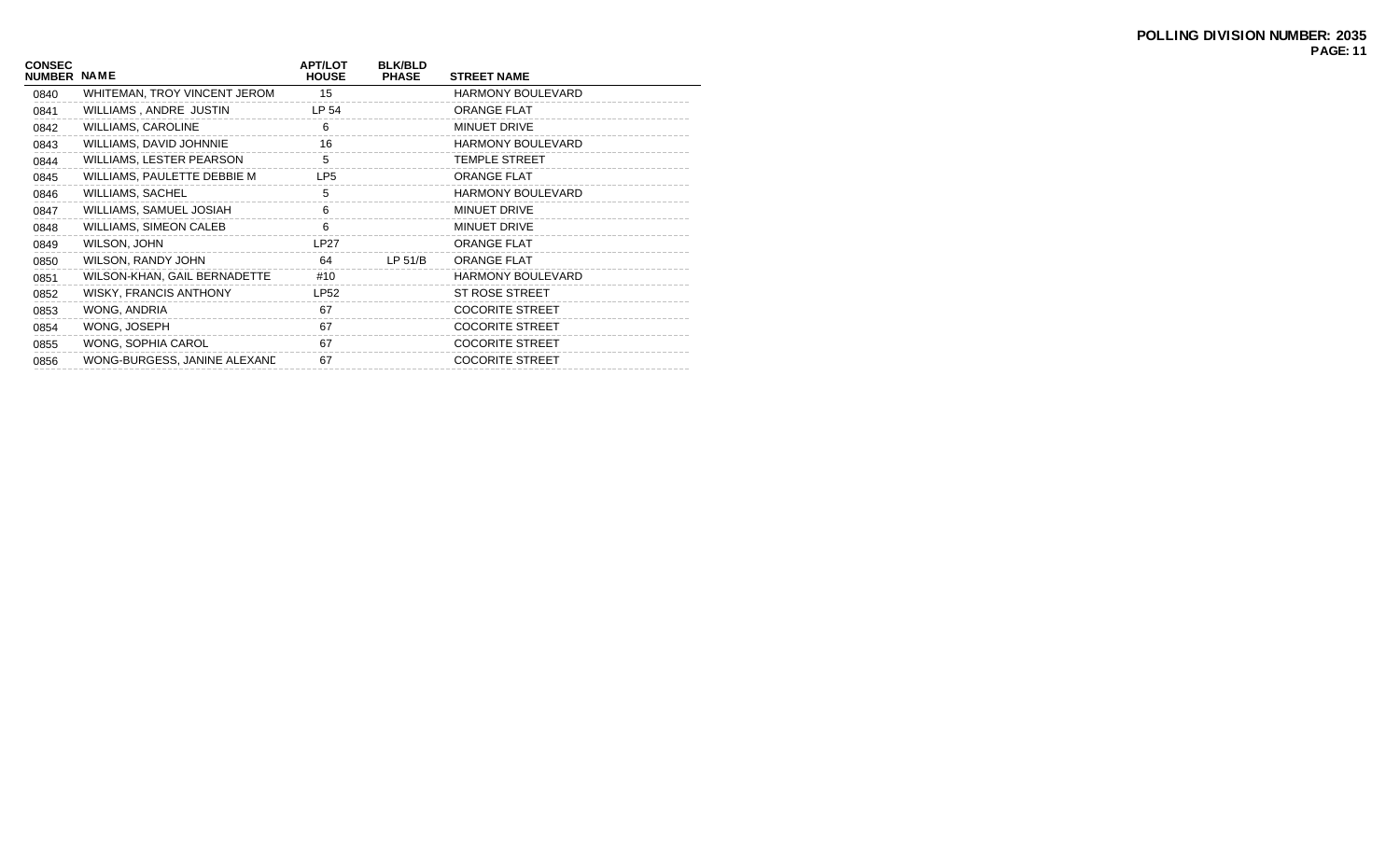| <b>CONSEC</b><br>NUMBER NAME |                                 | <b>APT/LOT</b><br><b>HOUSE</b> | <b>BLK/BLD</b><br><b>PHASE</b> | <b>STREET NAME</b>       |
|------------------------------|---------------------------------|--------------------------------|--------------------------------|--------------------------|
| 0840                         | WHITEMAN, TROY VINCENT JEROM    | 15                             |                                | <b>HARMONY BOULEVARD</b> |
| 0841                         | WILLIAMS, ANDRE JUSTIN          | LP 54                          |                                | <b>ORANGE FLAT</b>       |
| 0842                         | <b>WILLIAMS, CAROLINE</b>       | 6                              |                                | MINUET DRIVE             |
| 0843                         | WILLIAMS, DAVID JOHNNIE         | 16                             |                                | <b>HARMONY BOULEVARD</b> |
| 0844                         | <b>WILLIAMS, LESTER PEARSON</b> | 5                              |                                | <b>TEMPLE STREET</b>     |
| 0845                         | WILLIAMS, PAULETTE DEBBIE M     | LP <sub>5</sub>                |                                | <b>ORANGE FLAT</b>       |
| 0846                         | <b>WILLIAMS, SACHEL</b>         | 5                              |                                | <b>HARMONY BOULEVARD</b> |
| 0847                         | WILLIAMS, SAMUEL JOSIAH         | 6                              |                                | <b>MINUET DRIVE</b>      |
| 0848                         | <b>WILLIAMS, SIMEON CALEB</b>   | 6                              |                                | MINUET DRIVE             |
| 0849                         | WILSON, JOHN                    | LP27                           |                                | <b>ORANGE FLAT</b>       |
| 0850                         | WILSON, RANDY JOHN              | 64                             | LP 51/B                        | <b>ORANGE FLAT</b>       |
| 0851                         | WILSON-KHAN, GAIL BERNADETTE    | #10                            |                                | <b>HARMONY BOULEVARD</b> |
| 0852                         | <b>WISKY, FRANCIS ANTHONY</b>   | <b>LP52</b>                    |                                | <b>ST ROSE STREET</b>    |
| 0853                         | WONG, ANDRIA                    | 67                             |                                | <b>COCORITE STREET</b>   |
| 0854                         | WONG, JOSEPH                    | 67                             |                                | <b>COCORITE STREET</b>   |
| 0855                         | WONG, SOPHIA CAROL              | 67                             |                                | <b>COCORITE STREET</b>   |
| 0856                         | WONG-BURGESS, JANINE ALEXAND    | 67                             |                                | <b>COCORITE STREET</b>   |
|                              |                                 |                                |                                |                          |